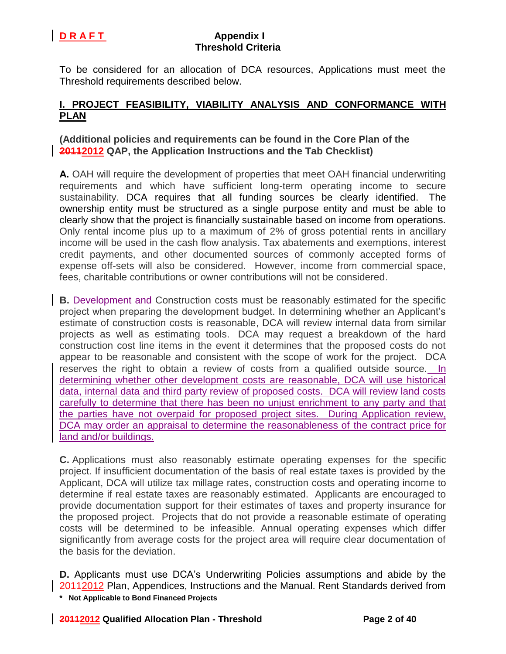To be considered for an allocation of DCA resources, Applications must meet the Threshold requirements described below.

# **I. PROJECT FEASIBILITY, VIABILITY ANALYSIS AND CONFORMANCE WITH PLAN**

## **(Additional policies and requirements can be found in the Core Plan of the 20112012 QAP, the Application Instructions and the Tab Checklist)**

**A.** OAH will require the development of properties that meet OAH financial underwriting requirements and which have sufficient long-term operating income to secure sustainability. DCA requires that all funding sources be clearly identified. The ownership entity must be structured as a single purpose entity and must be able to clearly show that the project is financially sustainable based on income from operations. Only rental income plus up to a maximum of 2% of gross potential rents in ancillary income will be used in the cash flow analysis. Tax abatements and exemptions, interest credit payments, and other documented sources of commonly accepted forms of expense off-sets will also be considered. However, income from commercial space, fees, charitable contributions or owner contributions will not be considered.

**B.** Development and Construction costs must be reasonably estimated for the specific project when preparing the development budget. In determining whether an Applicant's estimate of construction costs is reasonable, DCA will review internal data from similar projects as well as estimating tools. DCA may request a breakdown of the hard construction cost line items in the event it determines that the proposed costs do not appear to be reasonable and consistent with the scope of work for the project. DCA reserves the right to obtain a review of costs from a qualified outside source. In determining whether other development costs are reasonable, DCA will use historical data, internal data and third party review of proposed costs. DCA will review land costs carefully to determine that there has been no unjust enrichment to any party and that the parties have not overpaid for proposed project sites. During Application review, DCA may order an appraisal to determine the reasonableness of the contract price for land and/or buildings.

**C.** Applications must also reasonably estimate operating expenses for the specific project. If insufficient documentation of the basis of real estate taxes is provided by the Applicant, DCA will utilize tax millage rates, construction costs and operating income to determine if real estate taxes are reasonably estimated. Applicants are encouraged to provide documentation support for their estimates of taxes and property insurance for the proposed project. Projects that do not provide a reasonable estimate of operating costs will be determined to be infeasible. Annual operating expenses which differ significantly from average costs for the project area will require clear documentation of the basis for the deviation.

**\* Not Applicable to Bond Financed Projects D.** Applicants must use DCA's Underwriting Policies assumptions and abide by the 20112012 Plan, Appendices, Instructions and the Manual. Rent Standards derived from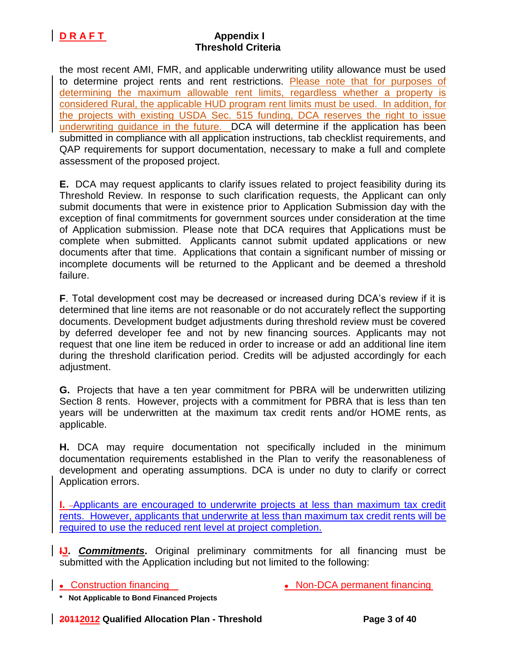the most recent AMI, FMR, and applicable underwriting utility allowance must be used to determine project rents and rent restrictions. Please note that for purposes of determining the maximum allowable rent limits, regardless whether a property is considered Rural, the applicable HUD program rent limits must be used. In addition, for the projects with existing USDA Sec. 515 funding, DCA reserves the right to issue underwriting guidance in the future. DCA will determine if the application has been submitted in compliance with all application instructions, tab checklist requirements, and QAP requirements for support documentation, necessary to make a full and complete assessment of the proposed project.

**E.** DCA may request applicants to clarify issues related to project feasibility during its Threshold Review. In response to such clarification requests, the Applicant can only submit documents that were in existence prior to Application Submission day with the exception of final commitments for government sources under consideration at the time of Application submission. Please note that DCA requires that Applications must be complete when submitted. Applicants cannot submit updated applications or new documents after that time. Applications that contain a significant number of missing or incomplete documents will be returned to the Applicant and be deemed a threshold failure.

**F**. Total development cost may be decreased or increased during DCA's review if it is determined that line items are not reasonable or do not accurately reflect the supporting documents. Development budget adjustments during threshold review must be covered by deferred developer fee and not by new financing sources. Applicants may not request that one line item be reduced in order to increase or add an additional line item during the threshold clarification period. Credits will be adjusted accordingly for each adjustment.

**G.** Projects that have a ten year commitment for PBRA will be underwritten utilizing Section 8 rents. However, projects with a commitment for PBRA that is less than ten years will be underwritten at the maximum tax credit rents and/or HOME rents, as applicable.

**H.** DCA may require documentation not specifically included in the minimum documentation requirements established in the Plan to verify the reasonableness of development and operating assumptions. DCA is under no duty to clarify or correct Application errors.

**I.** Applicants are encouraged to underwrite projects at less than maximum tax credit rents. However, applicants that underwrite at less than maximum tax credit rents will be required to use the reduced rent level at project completion.

**IJ. Commitments.** Original preliminary commitments for all financing must be submitted with the Application including but not limited to the following:

• Construction financing and the Non-DCA permanent financing

**\* Not Applicable to Bond Financed Projects**

**20112012 Qualified Allocation Plan - Threshold Page 3 of 40**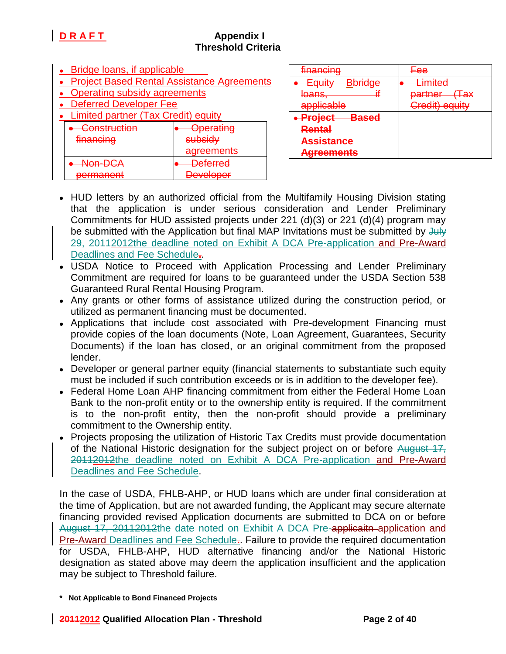| • Bridge loans, if applicable                     |                    |  |  |  |
|---------------------------------------------------|--------------------|--|--|--|
| <b>Project Based Rental Assistance Agreements</b> |                    |  |  |  |
| <b>Operating subsidy agreements</b>               |                    |  |  |  |
| <b>Deferred Developer Fee</b>                     |                    |  |  |  |
| <b>Limited partner (Tax Credit) equity</b>        |                    |  |  |  |
| Construction                                      | perating           |  |  |  |
| <del>financing</del>                              | <del>subsidv</del> |  |  |  |
|                                                   | raamar             |  |  |  |
|                                                   |                    |  |  |  |
|                                                   |                    |  |  |  |

| financina<br><del>manoma</del>                                          | ⊏∩ם<br>— एउ                                              |
|-------------------------------------------------------------------------|----------------------------------------------------------|
| $E$ <i>c</i> u iitv<br><b>Bbridge</b><br>⊏पणम<br><del>loans,</del><br>π | Limited<br>∉∓ах<br><u>nartnar </u><br><del>partnor</del> |
| applicable                                                              | Credit) equity                                           |
| <b>Project</b><br><del>Based</del>                                      |                                                          |
| Rental                                                                  |                                                          |
| <b>Assistance</b>                                                       |                                                          |
| <b>Agreements</b>                                                       |                                                          |

- HUD letters by an authorized official from the Multifamily Housing Division stating that the application is under serious consideration and Lender Preliminary Commitments for HUD assisted projects under 221 (d)(3) or 221 (d)(4) program may be submitted with the Application but final MAP Invitations must be submitted by  $\frac{1}{2}$ 29, 20112012the deadline noted on Exhibit A DCA Pre-application and Pre-Award Deadlines and Fee Schedule**.**.
- USDA Notice to Proceed with Application Processing and Lender Preliminary Commitment are required for loans to be guaranteed under the USDA Section 538 Guaranteed Rural Rental Housing Program.
- Any grants or other forms of assistance utilized during the construction period, or utilized as permanent financing must be documented.
- Applications that include cost associated with Pre-development Financing must provide copies of the loan documents (Note, Loan Agreement, Guarantees, Security Documents) if the loan has closed, or an original commitment from the proposed lender.
- Developer or general partner equity (financial statements to substantiate such equity must be included if such contribution exceeds or is in addition to the developer fee).
- Federal Home Loan AHP financing commitment from either the Federal Home Loan Bank to the non-profit entity or to the ownership entity is required. If the commitment is to the non-profit entity, then the non-profit should provide a preliminary commitment to the Ownership entity.
- Projects proposing the utilization of Historic Tax Credits must provide documentation of the National Historic designation for the subject project on or before August 17, 20112012the deadline noted on Exhibit A DCA Pre-application and Pre-Award Deadlines and Fee Schedule.

In the case of USDA, FHLB-AHP, or HUD loans which are under final consideration at the time of Application, but are not awarded funding, the Applicant may secure alternate financing provided revised Application documents are submitted to DCA on or before August 17, 20112012the date noted on Exhibit A DCA Pre-applicatin-application and Pre-Award Deadlines and Fee Schedule**.**. Failure to provide the required documentation for USDA, FHLB-AHP, HUD alternative financing and/or the National Historic designation as stated above may deem the application insufficient and the application may be subject to Threshold failure.

**<sup>\*</sup> Not Applicable to Bond Financed Projects**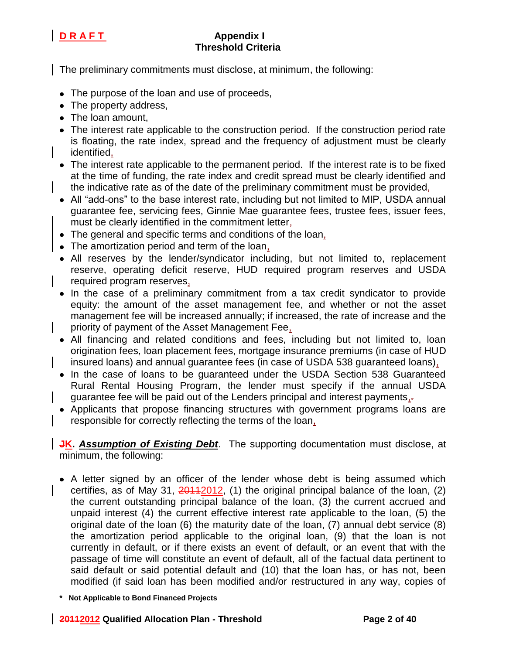

The preliminary commitments must disclose, at minimum, the following:

- The purpose of the loan and use of proceeds,
- The property address,
- The loan amount,
- The interest rate applicable to the construction period. If the construction period rate is floating, the rate index, spread and the frequency of adjustment must be clearly identified,
- The interest rate applicable to the permanent period. If the interest rate is to be fixed at the time of funding, the rate index and credit spread must be clearly identified and the indicative rate as of the date of the preliminary commitment must be provided,
- All "add-ons" to the base interest rate, including but not limited to MIP, USDA annual guarantee fee, servicing fees, Ginnie Mae guarantee fees, trustee fees, issuer fees, must be clearly identified in the commitment letter,
- The general and specific terms and conditions of the loan,
- The amortization period and term of the loan,
- All reserves by the lender/syndicator including, but not limited to, replacement reserve, operating deficit reserve, HUD required program reserves and USDA required program reserves,
- In the case of a preliminary commitment from a tax credit syndicator to provide equity: the amount of the asset management fee, and whether or not the asset management fee will be increased annually; if increased, the rate of increase and the priority of payment of the Asset Management Fee,
- All financing and related conditions and fees, including but not limited to, loan origination fees, loan placement fees, mortgage insurance premiums (in case of HUD insured loans) and annual guarantee fees (in case of USDA 538 guaranteed loans),
- In the case of loans to be quaranteed under the USDA Section 538 Guaranteed Rural Rental Housing Program, the lender must specify if the annual USDA guarantee fee will be paid out of the Lenders principal and interest payments<sub>1</sub>.
- Applicants that propose financing structures with government programs loans are responsible for correctly reflecting the terms of the loan,

**JK. Assumption of Existing Debt**. The supporting documentation must disclose, at minimum, the following:

- A letter signed by an officer of the lender whose debt is being assumed which certifies, as of May 31,  $20112012$ , (1) the original principal balance of the loan, (2) the current outstanding principal balance of the loan, (3) the current accrued and unpaid interest (4) the current effective interest rate applicable to the loan, (5) the original date of the loan (6) the maturity date of the loan, (7) annual debt service (8) the amortization period applicable to the original loan, (9) that the loan is not currently in default, or if there exists an event of default, or an event that with the passage of time will constitute an event of default, all of the factual data pertinent to said default or said potential default and (10) that the loan has, or has not, been modified (if said loan has been modified and/or restructured in any way, copies of
- **\* Not Applicable to Bond Financed Projects**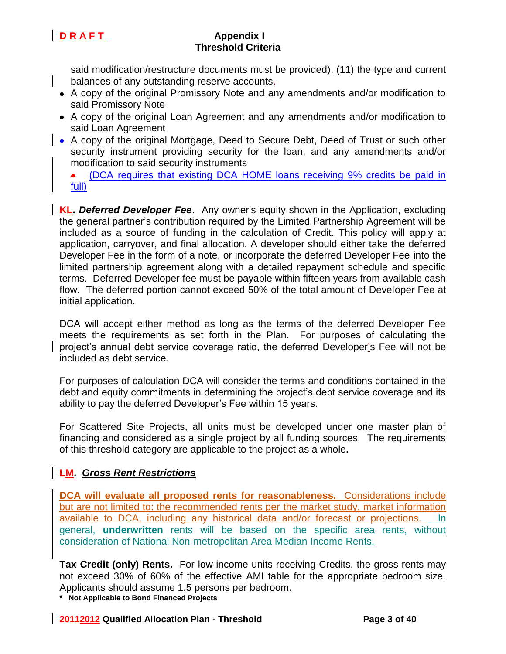

said modification/restructure documents must be provided), (11) the type and current balances of any outstanding reserve accounts-

- A copy of the original Promissory Note and any amendments and/or modification to said Promissory Note
- A copy of the original Loan Agreement and any amendments and/or modification to said Loan Agreement
- A copy of the original Mortgage, Deed to Secure Debt, Deed of Trust or such other security instrument providing security for the loan, and any amendments and/or modification to said security instruments

(DCA requires that existing DCA HOME loans receiving 9% credits be paid in  $\bullet$ full)

**KL. Deferred Developer Fee**. Any owner's equity shown in the Application, excluding the general partner's contribution required by the Limited Partnership Agreement will be included as a source of funding in the calculation of Credit. This policy will apply at application, carryover, and final allocation. A developer should either take the deferred Developer Fee in the form of a note, or incorporate the deferred Developer Fee into the limited partnership agreement along with a detailed repayment schedule and specific terms. Deferred Developer fee must be payable within fifteen years from available cash flow. The deferred portion cannot exceed 50% of the total amount of Developer Fee at initial application.

DCA will accept either method as long as the terms of the deferred Developer Fee meets the requirements as set forth in the Plan. For purposes of calculating the project's annual debt service coverage ratio, the deferred Developer's Fee will not be included as debt service.

For purposes of calculation DCA will consider the terms and conditions contained in the debt and equity commitments in determining the project's debt service coverage and its ability to pay the deferred Developer's Fee within 15 years.

For Scattered Site Projects, all units must be developed under one master plan of financing and considered as a single project by all funding sources. The requirements of this threshold category are applicable to the project as a whole**.**

## **LM.** *Gross Rent Restrictions*

**DCA will evaluate all proposed rents for reasonableness.** Considerations include but are not limited to: the recommended rents per the market study, market information available to DCA, including any historical data and/or forecast or projections. In general, **underwritten** rents will be based on the specific area rents, without consideration of National Non-metropolitan Area Median Income Rents.

**Tax Credit (only) Rents.** For low-income units receiving Credits, the gross rents may not exceed 30% of 60% of the effective AMI table for the appropriate bedroom size. Applicants should assume 1.5 persons per bedroom.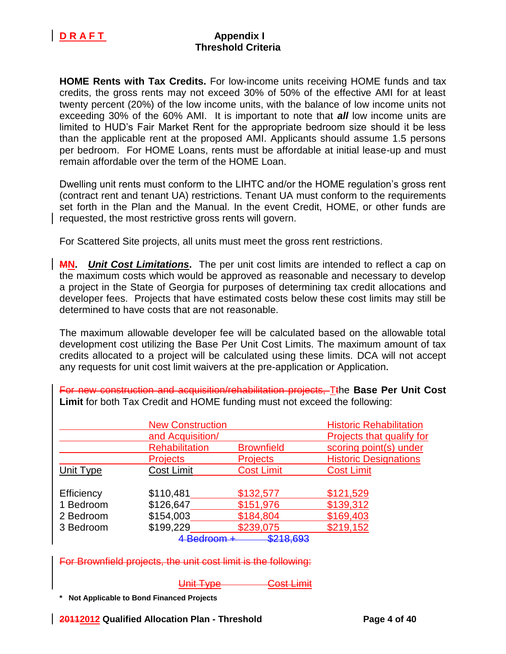

**HOME Rents with Tax Credits.** For low-income units receiving HOME funds and tax credits, the gross rents may not exceed 30% of 50% of the effective AMI for at least twenty percent (20%) of the low income units, with the balance of low income units not exceeding 30% of the 60% AMI. It is important to note that *all* low income units are limited to HUD's Fair Market Rent for the appropriate bedroom size should it be less than the applicable rent at the proposed AMI. Applicants should assume 1.5 persons per bedroom. For HOME Loans, rents must be affordable at initial lease-up and must remain affordable over the term of the HOME Loan.

Dwelling unit rents must conform to the LIHTC and/or the HOME regulation's gross rent (contract rent and tenant UA) restrictions. Tenant UA must conform to the requirements set forth in the Plan and the Manual. In the event Credit, HOME, or other funds are requested, the most restrictive gross rents will govern.

For Scattered Site projects, all units must meet the gross rent restrictions.

**MN.** *Unit Cost Limitations***.** The per unit cost limits are intended to reflect a cap on the maximum costs which would be approved as reasonable and necessary to develop a project in the State of Georgia for purposes of determining tax credit allocations and developer fees. Projects that have estimated costs below these cost limits may still be determined to have costs that are not reasonable.

The maximum allowable developer fee will be calculated based on the allowable total development cost utilizing the Base Per Unit Cost Limits. The maximum amount of tax credits allocated to a project will be calculated using these limits. DCA will not accept any requests for unit cost limit waivers at the pre-application or Application**.** 

For new construction and acquisition/rehabilitation projects, Tthe **Base Per Unit Cost Limit** for both Tax Credit and HOME funding must not exceed the following:

|            | <b>New Construction</b> |                   | <b>Historic Rehabilitation</b> |  |
|------------|-------------------------|-------------------|--------------------------------|--|
|            | and Acquisition/        |                   | Projects that qualify for      |  |
|            | <b>Rehabilitation</b>   | <b>Brownfield</b> | scoring point(s) under         |  |
|            | <b>Projects</b>         | <b>Projects</b>   | <b>Historic Designations</b>   |  |
| Unit Type  | <b>Cost Limit</b>       | <b>Cost Limit</b> | <b>Cost Limit</b>              |  |
| Efficiency | \$110,481               | \$132,577         | \$121,529                      |  |
| 1 Bedroom  | \$126,647               | \$151,976         | \$139,312                      |  |
| 2 Bedroom  | \$154,003               | \$184,804         | \$169,403                      |  |
| 3 Bedroom  | \$199,229               | \$239,075         | \$219,152                      |  |
|            | <del>4 Bedroom +</del>  | \$218,693         |                                |  |

For Brownfield projects, the unit cost limit is the following:

### Unit Type **Cost Limit**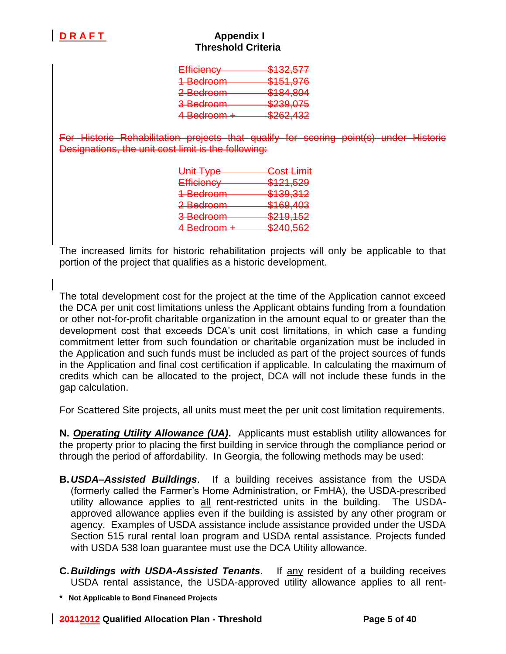| Efficiency           | \$132,577 |
|----------------------|-----------|
|                      |           |
| 1 Bedroom            | \$151,976 |
| <del>2 Bedroom</del> | \$184,804 |
|                      |           |
| 3 Bedroom            | \$239,075 |
| 4 Bedroom +          | \$262,432 |
|                      |           |

For Historic Rehabilitation projects that qualify for scoring point(s) under Historic Designations, the unit cost limit is the following:

| <del>Cost Limit</del> |
|-----------------------|
| <del>\$121,529</del>  |
| \$139,312             |
| \$169,403             |
| \$219,152             |
| \$240,562             |
|                       |

The increased limits for historic rehabilitation projects will only be applicable to that portion of the project that qualifies as a historic development.

The total development cost for the project at the time of the Application cannot exceed the DCA per unit cost limitations unless the Applicant obtains funding from a foundation or other not-for-profit charitable organization in the amount equal to or greater than the development cost that exceeds DCA's unit cost limitations, in which case a funding commitment letter from such foundation or charitable organization must be included in the Application and such funds must be included as part of the project sources of funds in the Application and final cost certification if applicable. In calculating the maximum of credits which can be allocated to the project, DCA will not include these funds in the gap calculation.

For Scattered Site projects, all units must meet the per unit cost limitation requirements.

**N.** *Operating Utility Allowance (UA)***.** Applicants must establish utility allowances for the property prior to placing the first building in service through the compliance period or through the period of affordability. In Georgia, the following methods may be used:

- **B.***USDA–Assisted Buildings*. If a building receives assistance from the USDA (formerly called the Farmer's Home Administration, or FmHA), the USDA-prescribed utility allowance applies to all rent-restricted units in the building. The USDAapproved allowance applies even if the building is assisted by any other program or agency. Examples of USDA assistance include assistance provided under the USDA Section 515 rural rental loan program and USDA rental assistance. Projects funded with USDA 538 loan guarantee must use the DCA Utility allowance.
- **C.***Buildings with USDA-Assisted Tenants*. If any resident of a building receives USDA rental assistance, the USDA-approved utility allowance applies to all rent-
- **\* Not Applicable to Bond Financed Projects**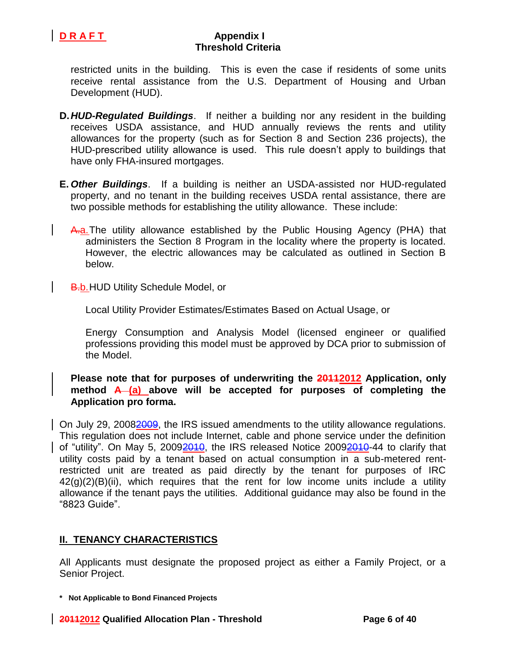

restricted units in the building. This is even the case if residents of some units receive rental assistance from the U.S. Department of Housing and Urban Development (HUD).

- **D.***HUD-Regulated Buildings*. If neither a building nor any resident in the building receives USDA assistance, and HUD annually reviews the rents and utility allowances for the property (such as for Section 8 and Section 236 projects), the HUD-prescribed utility allowance is used. This rule doesn't apply to buildings that have only FHA-insured mortgages.
- **E.** *Other Buildings*. If a building is neither an USDA-assisted nor HUD-regulated property, and no tenant in the building receives USDA rental assistance, there are two possible methods for establishing the utility allowance. These include:
	- A.a.The utility allowance established by the Public Housing Agency (PHA) that administers the Section 8 Program in the locality where the property is located. However, the electric allowances may be calculated as outlined in Section B below.

**B.b. HUD Utility Schedule Model, or** 

Local Utility Provider Estimates/Estimates Based on Actual Usage, or

Energy Consumption and Analysis Model (licensed engineer or qualified professions providing this model must be approved by DCA prior to submission of the Model.

### **Please note that for purposes of underwriting the 20112012 Application, only method A (a) above will be accepted for purposes of completing the Application pro forma.**

On July 29, 20082009, the IRS issued amendments to the utility allowance regulations. This regulation does not include Internet, cable and phone service under the definition of "utility". On May 5, 2009<del>2010</del>, the IRS released Notice 2009<del>2010</del>-44 to clarify that utility costs paid by a tenant based on actual consumption in a sub-metered rentrestricted unit are treated as paid directly by the tenant for purposes of IRC  $42(q)(2)(B)(ii)$ , which requires that the rent for low income units include a utility allowance if the tenant pays the utilities. Additional guidance may also be found in the "8823 Guide".

### **II. TENANCY CHARACTERISTICS**

All Applicants must designate the proposed project as either a Family Project, or a Senior Project.

**\* Not Applicable to Bond Financed Projects**

**20112012 Qualified Allocation Plan - Threshold Page 6 of 40**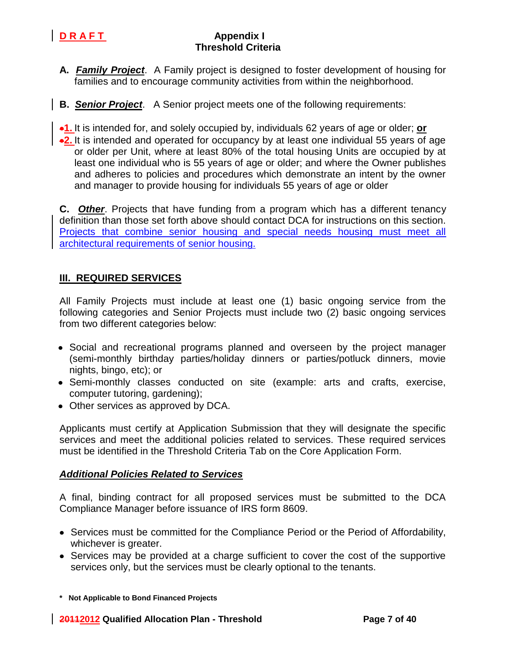

- **A.** *Family Project*. A Family project is designed to foster development of housing for families and to encourage community activities from within the neighborhood.
- **B.** *Senior Project*. A Senior project meets one of the following requirements:

**1.** It is intended for, and solely occupied by, individuals 62 years of age or older; **or**

**2.** It is intended and operated for occupancy by at least one individual 55 years of age or older per Unit, where at least 80% of the total housing Units are occupied by at least one individual who is 55 years of age or older; and where the Owner publishes and adheres to policies and procedures which demonstrate an intent by the owner and manager to provide housing for individuals 55 years of age or older

**C.** *Other*. Projects that have funding from a program which has a different tenancy definition than those set forth above should contact DCA for instructions on this section. Projects that combine senior housing and special needs housing must meet all architectural requirements of senior housing.

# **III. REQUIRED SERVICES**

All Family Projects must include at least one (1) basic ongoing service from the following categories and Senior Projects must include two (2) basic ongoing services from two different categories below:

- Social and recreational programs planned and overseen by the project manager (semi-monthly birthday parties/holiday dinners or parties/potluck dinners, movie nights, bingo, etc); or
- Semi-monthly classes conducted on site (example: arts and crafts, exercise, computer tutoring, gardening);
- Other services as approved by DCA.

Applicants must certify at Application Submission that they will designate the specific services and meet the additional policies related to services. These required services must be identified in the Threshold Criteria Tab on the Core Application Form.

### *Additional Policies Related to Services*

A final, binding contract for all proposed services must be submitted to the DCA Compliance Manager before issuance of IRS form 8609.

- Services must be committed for the Compliance Period or the Period of Affordability, whichever is greater.
- Services may be provided at a charge sufficient to cover the cost of the supportive services only, but the services must be clearly optional to the tenants.

**<sup>\*</sup> Not Applicable to Bond Financed Projects**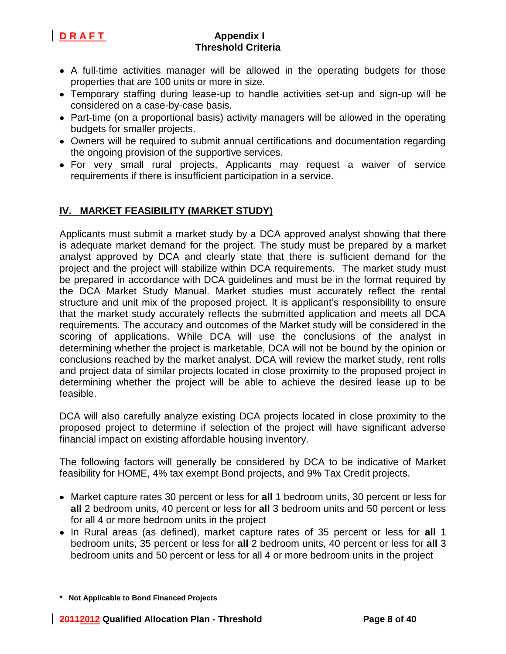

- A full-time activities manager will be allowed in the operating budgets for those properties that are 100 units or more in size.
- Temporary staffing during lease-up to handle activities set-up and sign-up will be considered on a case-by-case basis.
- Part-time (on a proportional basis) activity managers will be allowed in the operating budgets for smaller projects.
- Owners will be required to submit annual certifications and documentation regarding the ongoing provision of the supportive services.
- For very small rural projects, Applicants may request a waiver of service requirements if there is insufficient participation in a service.

# **IV. MARKET FEASIBILITY (MARKET STUDY)**

Applicants must submit a market study by a DCA approved analyst showing that there is adequate market demand for the project. The study must be prepared by a market analyst approved by DCA and clearly state that there is sufficient demand for the project and the project will stabilize within DCA requirements. The market study must be prepared in accordance with DCA guidelines and must be in the format required by the DCA Market Study Manual. Market studies must accurately reflect the rental structure and unit mix of the proposed project. It is applicant's responsibility to ensure that the market study accurately reflects the submitted application and meets all DCA requirements. The accuracy and outcomes of the Market study will be considered in the scoring of applications. While DCA will use the conclusions of the analyst in determining whether the project is marketable, DCA will not be bound by the opinion or conclusions reached by the market analyst. DCA will review the market study, rent rolls and project data of similar projects located in close proximity to the proposed project in determining whether the project will be able to achieve the desired lease up to be feasible.

DCA will also carefully analyze existing DCA projects located in close proximity to the proposed project to determine if selection of the project will have significant adverse financial impact on existing affordable housing inventory.

The following factors will generally be considered by DCA to be indicative of Market feasibility for HOME, 4% tax exempt Bond projects, and 9% Tax Credit projects.

- Market capture rates 30 percent or less for **all** 1 bedroom units, 30 percent or less for **all** 2 bedroom units, 40 percent or less for **all** 3 bedroom units and 50 percent or less for all 4 or more bedroom units in the project
- In Rural areas (as defined), market capture rates of 35 percent or less for **all** 1 bedroom units, 35 percent or less for **all** 2 bedroom units, 40 percent or less for **all** 3 bedroom units and 50 percent or less for all 4 or more bedroom units in the project

**<sup>\*</sup> Not Applicable to Bond Financed Projects**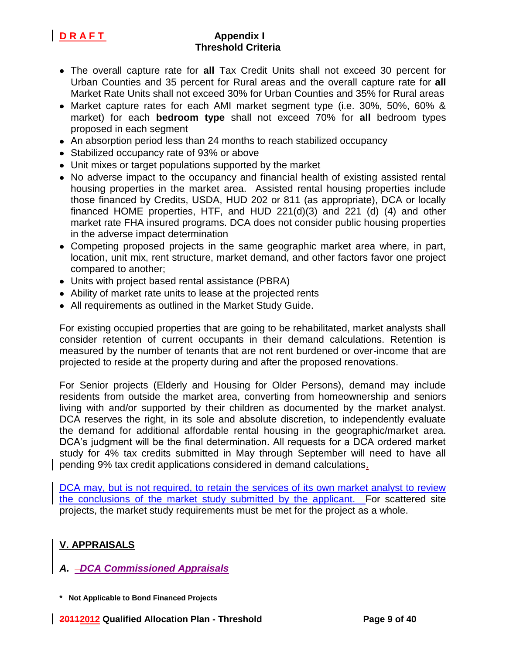- The overall capture rate for **all** Tax Credit Units shall not exceed 30 percent for Urban Counties and 35 percent for Rural areas and the overall capture rate for **all** Market Rate Units shall not exceed 30% for Urban Counties and 35% for Rural areas
- Market capture rates for each AMI market segment type (i.e. 30%, 50%, 60% & market) for each **bedroom type** shall not exceed 70% for **all** bedroom types proposed in each segment
- An absorption period less than 24 months to reach stabilized occupancy
- Stabilized occupancy rate of 93% or above
- Unit mixes or target populations supported by the market
- No adverse impact to the occupancy and financial health of existing assisted rental housing properties in the market area. Assisted rental housing properties include those financed by Credits, USDA, HUD 202 or 811 (as appropriate), DCA or locally financed HOME properties, HTF, and HUD 221(d)(3) and 221 (d) (4) and other market rate FHA insured programs. DCA does not consider public housing properties in the adverse impact determination
- Competing proposed projects in the same geographic market area where, in part, location, unit mix, rent structure, market demand, and other factors favor one project compared to another;
- Units with project based rental assistance (PBRA)
- Ability of market rate units to lease at the projected rents
- All requirements as outlined in the Market Study Guide.

For existing occupied properties that are going to be rehabilitated, market analysts shall consider retention of current occupants in their demand calculations. Retention is measured by the number of tenants that are not rent burdened or over-income that are projected to reside at the property during and after the proposed renovations.

For Senior projects (Elderly and Housing for Older Persons), demand may include residents from outside the market area, converting from homeownership and seniors living with and/or supported by their children as documented by the market analyst. DCA reserves the right, in its sole and absolute discretion, to independently evaluate the demand for additional affordable rental housing in the geographic/market area. DCA's judgment will be the final determination. All requests for a DCA ordered market study for 4% tax credits submitted in May through September will need to have all pending 9% tax credit applications considered in demand calculations.

DCA may, but is not required, to retain the services of its own market analyst to review the conclusions of the market study submitted by the applicant. For scattered site projects, the market study requirements must be met for the project as a whole.

# **V. APPRAISALS**

# *A. DCA Commissioned Appraisals*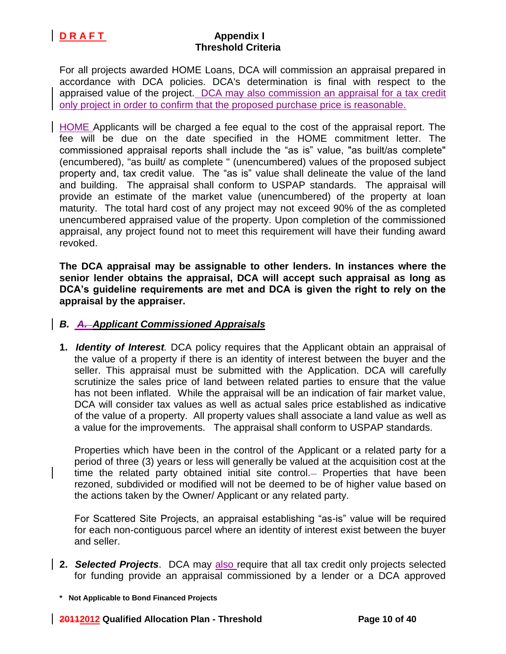For all projects awarded HOME Loans, DCA will commission an appraisal prepared in accordance with DCA policies. DCA's determination is final with respect to the appraised value of the project. DCA may also commission an appraisal for a tax credit only project in order to confirm that the proposed purchase price is reasonable.

HOME Applicants will be charged a fee equal to the cost of the appraisal report. The fee will be due on the date specified in the HOME commitment letter. The commissioned appraisal reports shall include the "as is" value, "as built/as complete" (encumbered), "as built/ as complete " (unencumbered) values of the proposed subject property and, tax credit value. The "as is" value shall delineate the value of the land and building. The appraisal shall conform to USPAP standards. The appraisal will provide an estimate of the market value (unencumbered) of the property at loan maturity. The total hard cost of any project may not exceed 90% of the as completed unencumbered appraised value of the property. Upon completion of the commissioned appraisal, any project found not to meet this requirement will have their funding award revoked.

**The DCA appraisal may be assignable to other lenders. In instances where the senior lender obtains the appraisal, DCA will accept such appraisal as long as DCA's guideline requirements are met and DCA is given the right to rely on the appraisal by the appraiser.** 

## *B. A. Applicant Commissioned Appraisals*

**1.** *Identity of Interest.* DCA policy requires that the Applicant obtain an appraisal of the value of a property if there is an identity of interest between the buyer and the seller. This appraisal must be submitted with the Application. DCA will carefully scrutinize the sales price of land between related parties to ensure that the value has not been inflated. While the appraisal will be an indication of fair market value, DCA will consider tax values as well as actual sales price established as indicative of the value of a property. All property values shall associate a land value as well as a value for the improvements. The appraisal shall conform to USPAP standards.

Properties which have been in the control of the Applicant or a related party for a period of three (3) years or less will generally be valued at the acquisition cost at the time the related party obtained initial site control. Properties that have been rezoned, subdivided or modified will not be deemed to be of higher value based on the actions taken by the Owner/ Applicant or any related party.

For Scattered Site Projects, an appraisal establishing "as-is" value will be required for each non-contiguous parcel where an identity of interest exist between the buyer and seller.

**2.** *Selected Projects*. DCA may also require that all tax credit only projects selected for funding provide an appraisal commissioned by a lender or a DCA approved

**<sup>\*</sup> Not Applicable to Bond Financed Projects**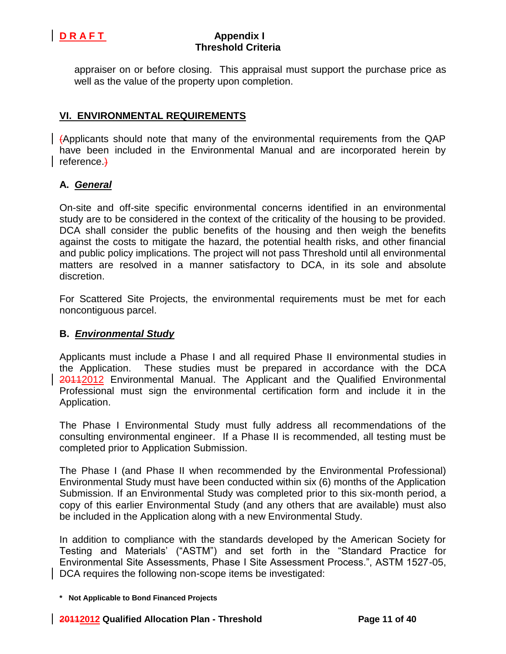

appraiser on or before closing. This appraisal must support the purchase price as well as the value of the property upon completion.

# **VI. ENVIRONMENTAL REQUIREMENTS**

 $\vert$  (Applicants should note that many of the environmental requirements from the QAP have been included in the Environmental Manual and are incorporated herein by reference.)

### **A.** *General*

On-site and off-site specific environmental concerns identified in an environmental study are to be considered in the context of the criticality of the housing to be provided. DCA shall consider the public benefits of the housing and then weigh the benefits against the costs to mitigate the hazard, the potential health risks, and other financial and public policy implications. The project will not pass Threshold until all environmental matters are resolved in a manner satisfactory to DCA, in its sole and absolute discretion.

For Scattered Site Projects, the environmental requirements must be met for each noncontiguous parcel.

### **B.** *Environmental Study*

Applicants must include a Phase I and all required Phase II environmental studies in the Application. These studies must be prepared in accordance with the DCA 20112012 Environmental Manual. The Applicant and the Qualified Environmental Professional must sign the environmental certification form and include it in the Application.

The Phase I Environmental Study must fully address all recommendations of the consulting environmental engineer. If a Phase II is recommended, all testing must be completed prior to Application Submission.

The Phase I (and Phase II when recommended by the Environmental Professional) Environmental Study must have been conducted within six (6) months of the Application Submission. If an Environmental Study was completed prior to this six-month period, a copy of this earlier Environmental Study (and any others that are available) must also be included in the Application along with a new Environmental Study.

In addition to compliance with the standards developed by the American Society for Testing and Materials' ("ASTM") and set forth in the "Standard Practice for Environmental Site Assessments, Phase I Site Assessment Process.", ASTM 1527-05, DCA requires the following non-scope items be investigated:

**<sup>\*</sup> Not Applicable to Bond Financed Projects**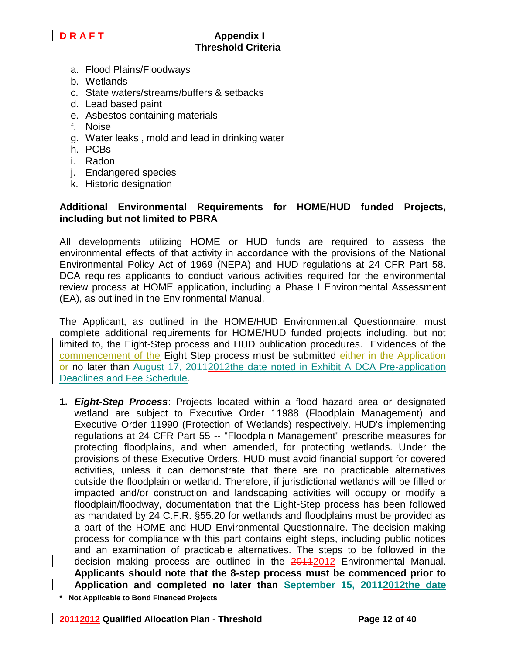

- a. Flood Plains/Floodways
- b. Wetlands
- c. State waters/streams/buffers & setbacks
- d. Lead based paint
- e. Asbestos containing materials
- f. Noise
- g. Water leaks , mold and lead in drinking water
- h. PCBs
- i. Radon
- j. Endangered species
- k. Historic designation

## **Additional Environmental Requirements for HOME/HUD funded Projects, including but not limited to PBRA**

All developments utilizing HOME or HUD funds are required to assess the environmental effects of that activity in accordance with the provisions of the National Environmental Policy Act of 1969 (NEPA) and HUD regulations at 24 CFR Part 58. DCA requires applicants to conduct various activities required for the environmental review process at HOME application, including a Phase I Environmental Assessment (EA), as outlined in the Environmental Manual.

The Applicant, as outlined in the HOME/HUD Environmental Questionnaire, must complete additional requirements for HOME/HUD funded projects including, but not limited to, the Eight-Step process and HUD publication procedures. Evidences of the commencement of the Eight Step process must be submitted either in the Application or no later than August 17, 20112012the date noted in Exhibit A DCA Pre-application Deadlines and Fee Schedule.

- **1.** *Eight-Step Process*: Projects located within a flood hazard area or designated wetland are subject to Executive Order 11988 (Floodplain Management) and Executive Order 11990 (Protection of Wetlands) respectively. HUD's implementing regulations at 24 CFR Part 55 -- "Floodplain Management" prescribe measures for protecting floodplains, and when amended, for protecting wetlands. Under the provisions of these Executive Orders, HUD must avoid financial support for covered activities, unless it can demonstrate that there are no practicable alternatives outside the floodplain or wetland. Therefore, if jurisdictional wetlands will be filled or impacted and/or construction and landscaping activities will occupy or modify a floodplain/floodway, documentation that the Eight-Step process has been followed as mandated by 24 C.F.R. §55.20 for wetlands and floodplains must be provided as a part of the HOME and HUD Environmental Questionnaire. The decision making process for compliance with this part contains eight steps, including public notices and an examination of practicable alternatives. The steps to be followed in the decision making process are outlined in the 20112012 Environmental Manual. **Applicants should note that the 8-step process must be commenced prior to Application and completed no later than September 15, 20112012the date**
- **\* Not Applicable to Bond Financed Projects**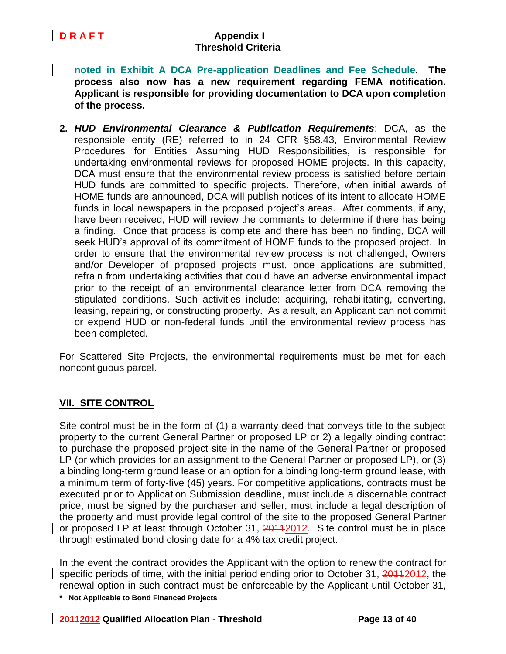**noted in Exhibit A DCA Pre-application Deadlines and Fee Schedule. The process also now has a new requirement regarding FEMA notification. Applicant is responsible for providing documentation to DCA upon completion of the process.**

**2.** *HUD Environmental Clearance & Publication Requirements*: DCA, as the responsible entity (RE) referred to in 24 CFR §58.43, Environmental Review Procedures for Entities Assuming HUD Responsibilities, is responsible for undertaking environmental reviews for proposed HOME projects. In this capacity, DCA must ensure that the environmental review process is satisfied before certain HUD funds are committed to specific projects. Therefore, when initial awards of HOME funds are announced, DCA will publish notices of its intent to allocate HOME funds in local newspapers in the proposed project's areas. After comments, if any, have been received, HUD will review the comments to determine if there has being a finding. Once that process is complete and there has been no finding, DCA will seek HUD's approval of its commitment of HOME funds to the proposed project. In order to ensure that the environmental review process is not challenged, Owners and/or Developer of proposed projects must, once applications are submitted, refrain from undertaking activities that could have an adverse environmental impact prior to the receipt of an environmental clearance letter from DCA removing the stipulated conditions. Such activities include: acquiring, rehabilitating, converting, leasing, repairing, or constructing property. As a result, an Applicant can not commit or expend HUD or non-federal funds until the environmental review process has been completed.

For Scattered Site Projects, the environmental requirements must be met for each noncontiguous parcel.

## **VII. SITE CONTROL**

Site control must be in the form of (1) a warranty deed that conveys title to the subject property to the current General Partner or proposed LP or 2) a legally binding contract to purchase the proposed project site in the name of the General Partner or proposed LP (or which provides for an assignment to the General Partner or proposed LP), or (3) a binding long-term ground lease or an option for a binding long-term ground lease, with a minimum term of forty-five (45) years. For competitive applications, contracts must be executed prior to Application Submission deadline, must include a discernable contract price, must be signed by the purchaser and seller, must include a legal description of the property and must provide legal control of the site to the proposed General Partner or proposed LP at least through October 31, 20112012. Site control must be in place through estimated bond closing date for a 4% tax credit project.

In the event the contract provides the Applicant with the option to renew the contract for specific periods of time, with the initial period ending prior to October 31, 20112012, the renewal option in such contract must be enforceable by the Applicant until October 31,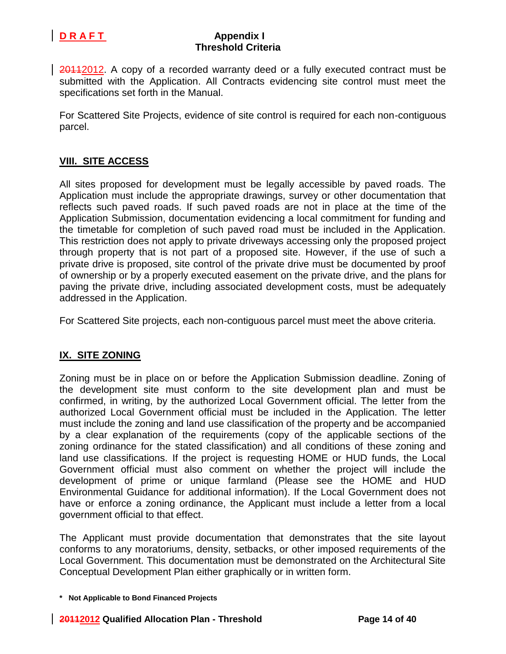

20112012. A copy of a recorded warranty deed or a fully executed contract must be submitted with the Application. All Contracts evidencing site control must meet the specifications set forth in the Manual.

For Scattered Site Projects, evidence of site control is required for each non-contiguous parcel.

## **VIII. SITE ACCESS**

All sites proposed for development must be legally accessible by paved roads. The Application must include the appropriate drawings, survey or other documentation that reflects such paved roads. If such paved roads are not in place at the time of the Application Submission, documentation evidencing a local commitment for funding and the timetable for completion of such paved road must be included in the Application. This restriction does not apply to private driveways accessing only the proposed project through property that is not part of a proposed site. However, if the use of such a private drive is proposed, site control of the private drive must be documented by proof of ownership or by a properly executed easement on the private drive, and the plans for paving the private drive, including associated development costs, must be adequately addressed in the Application.

For Scattered Site projects, each non-contiguous parcel must meet the above criteria.

## **IX. SITE ZONING**

Zoning must be in place on or before the Application Submission deadline. Zoning of the development site must conform to the site development plan and must be confirmed, in writing, by the authorized Local Government official. The letter from the authorized Local Government official must be included in the Application. The letter must include the zoning and land use classification of the property and be accompanied by a clear explanation of the requirements (copy of the applicable sections of the zoning ordinance for the stated classification) and all conditions of these zoning and land use classifications. If the project is requesting HOME or HUD funds, the Local Government official must also comment on whether the project will include the development of prime or unique farmland (Please see the HOME and HUD Environmental Guidance for additional information). If the Local Government does not have or enforce a zoning ordinance, the Applicant must include a letter from a local government official to that effect.

The Applicant must provide documentation that demonstrates that the site layout conforms to any moratoriums, density, setbacks, or other imposed requirements of the Local Government. This documentation must be demonstrated on the Architectural Site Conceptual Development Plan either graphically or in written form.

**<sup>\*</sup> Not Applicable to Bond Financed Projects**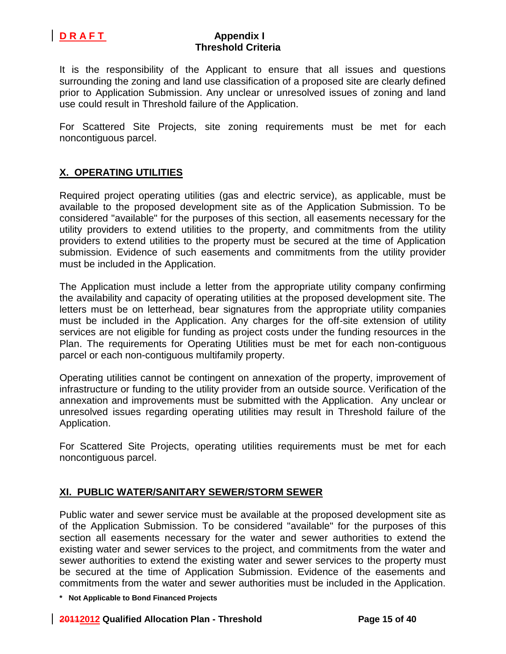

It is the responsibility of the Applicant to ensure that all issues and questions surrounding the zoning and land use classification of a proposed site are clearly defined prior to Application Submission. Any unclear or unresolved issues of zoning and land use could result in Threshold failure of the Application.

For Scattered Site Projects, site zoning requirements must be met for each noncontiguous parcel.

# **X. OPERATING UTILITIES**

Required project operating utilities (gas and electric service), as applicable, must be available to the proposed development site as of the Application Submission. To be considered "available" for the purposes of this section, all easements necessary for the utility providers to extend utilities to the property, and commitments from the utility providers to extend utilities to the property must be secured at the time of Application submission. Evidence of such easements and commitments from the utility provider must be included in the Application.

The Application must include a letter from the appropriate utility company confirming the availability and capacity of operating utilities at the proposed development site. The letters must be on letterhead, bear signatures from the appropriate utility companies must be included in the Application. Any charges for the off-site extension of utility services are not eligible for funding as project costs under the funding resources in the Plan. The requirements for Operating Utilities must be met for each non-contiguous parcel or each non-contiguous multifamily property.

Operating utilities cannot be contingent on annexation of the property, improvement of infrastructure or funding to the utility provider from an outside source. Verification of the annexation and improvements must be submitted with the Application. Any unclear or unresolved issues regarding operating utilities may result in Threshold failure of the Application.

For Scattered Site Projects, operating utilities requirements must be met for each noncontiguous parcel.

### **XI. PUBLIC WATER/SANITARY SEWER/STORM SEWER**

Public water and sewer service must be available at the proposed development site as of the Application Submission. To be considered "available" for the purposes of this section all easements necessary for the water and sewer authorities to extend the existing water and sewer services to the project, and commitments from the water and sewer authorities to extend the existing water and sewer services to the property must be secured at the time of Application Submission. Evidence of the easements and commitments from the water and sewer authorities must be included in the Application.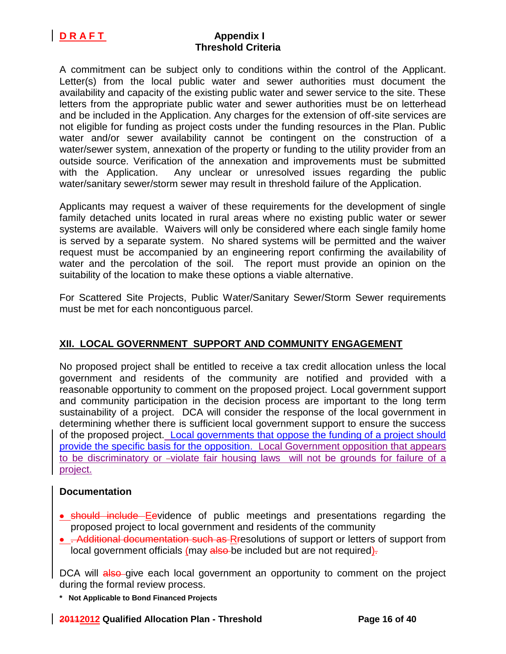A commitment can be subject only to conditions within the control of the Applicant. Letter(s) from the local public water and sewer authorities must document the availability and capacity of the existing public water and sewer service to the site. These letters from the appropriate public water and sewer authorities must be on letterhead and be included in the Application. Any charges for the extension of off-site services are not eligible for funding as project costs under the funding resources in the Plan. Public water and/or sewer availability cannot be contingent on the construction of a water/sewer system, annexation of the property or funding to the utility provider from an outside source. Verification of the annexation and improvements must be submitted with the Application.Any unclear or unresolved issues regarding the public water/sanitary sewer/storm sewer may result in threshold failure of the Application.

Applicants may request a waiver of these requirements for the development of single family detached units located in rural areas where no existing public water or sewer systems are available. Waivers will only be considered where each single family home is served by a separate system. No shared systems will be permitted and the waiver request must be accompanied by an engineering report confirming the availability of water and the percolation of the soil. The report must provide an opinion on the suitability of the location to make these options a viable alternative.

For Scattered Site Projects, Public Water/Sanitary Sewer/Storm Sewer requirements must be met for each noncontiguous parcel.

## **XII. LOCAL GOVERNMENT SUPPORT AND COMMUNITY ENGAGEMENT**

No proposed project shall be entitled to receive a tax credit allocation unless the local government and residents of the community are notified and provided with a reasonable opportunity to comment on the proposed project. Local government support and community participation in the decision process are important to the long term sustainability of a project. DCA will consider the response of the local government in determining whether there is sufficient local government support to ensure the success of the proposed project. Local governments that oppose the funding of a project should provide the specific basis for the opposition. Local Government opposition that appears to be discriminatory or -violate fair housing laws will not be grounds for failure of a project.

### **Documentation**

- should include Eevidence of public meetings and presentations regarding the proposed project to local government and residents of the community
- Additional documentation such as Rresolutions of support or letters of support from local government officials (may also be included but are not required).

DCA will also-give each local government an opportunity to comment on the project during the formal review process.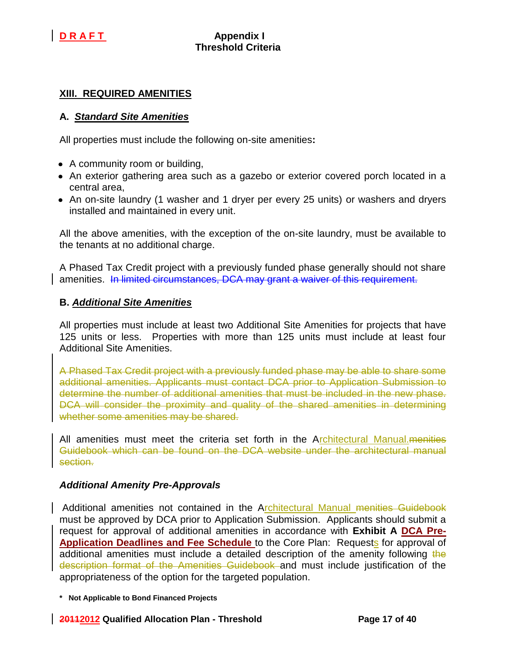## **XIII. REQUIRED AMENITIES**

### **A.** *Standard Site Amenities*

All properties must include the following on-site amenities**:**

- A community room or building,
- An exterior gathering area such as a gazebo or exterior covered porch located in a central area,
- An on-site laundry (1 washer and 1 dryer per every 25 units) or washers and dryers installed and maintained in every unit.

All the above amenities, with the exception of the on-site laundry, must be available to the tenants at no additional charge.

A Phased Tax Credit project with a previously funded phase generally should not share amenities. In limited circumstances, DCA may grant a waiver of this requirement.

### **B.** *Additional Site Amenities*

All properties must include at least two Additional Site Amenities for projects that have 125 units or less. Properties with more than 125 units must include at least four Additional Site Amenities.

A Phased Tax Credit project with a previously funded phase may be able to share some additional amenities. Applicants must contact DCA prior to Application Submission to determine the number of additional amenities that must be included in the new phase. DCA will consider the proximity and quality of the shared amenities in determining whether some amenities may be shared.

All amenities must meet the criteria set forth in the Architectural Manual. menities Guidebook which can be found on the DCA website under the architectural manual section.

### *Additional Amenity Pre-Approvals*

Additional amenities not contained in the Architectural Manual menities Guidebook must be approved by DCA prior to Application Submission. Applicants should submit a request for approval of additional amenities in accordance with **Exhibit A DCA Pre-Application Deadlines and Fee Schedule** to the Core Plan: Requests for approval of additional amenities must include a detailed description of the amenity following the description format of the Amenities Guidebook and must include justification of the appropriateness of the option for the targeted population.

### **20112012 Qualified Allocation Plan - Threshold Page 17 of 40**

**<sup>\*</sup> Not Applicable to Bond Financed Projects**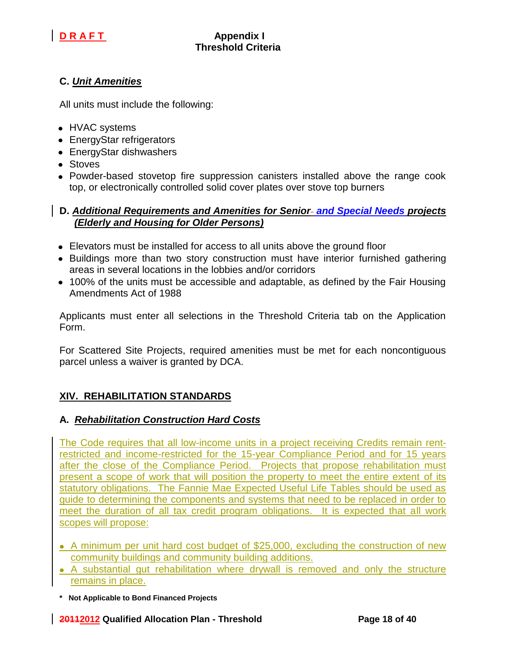

# **C.** *Unit Amenities*

All units must include the following:

- HVAC systems
- EnergyStar refrigerators
- EnergyStar dishwashers
- Stoves
- Powder-based stovetop fire suppression canisters installed above the range cook top, or electronically controlled solid cover plates over stove top burners

### **D.** *Additional Requirements and Amenities for Senior and Special Needs projects (Elderly and Housing for Older Persons)*

- Elevators must be installed for access to all units above the ground floor
- Buildings more than two story construction must have interior furnished gathering areas in several locations in the lobbies and/or corridors
- 100% of the units must be accessible and adaptable, as defined by the Fair Housing Amendments Act of 1988

Applicants must enter all selections in the Threshold Criteria tab on the Application Form.

For Scattered Site Projects, required amenities must be met for each noncontiguous parcel unless a waiver is granted by DCA.

## **XIV. REHABILITATION STANDARDS**

## **A.** *Rehabilitation Construction Hard Costs*

The Code requires that all low-income units in a project receiving Credits remain rentrestricted and income-restricted for the 15-year Compliance Period and for 15 years after the close of the Compliance Period. Projects that propose rehabilitation must present a scope of work that will position the property to meet the entire extent of its statutory obligations. The Fannie Mae Expected Useful Life Tables should be used as guide to determining the components and systems that need to be replaced in order to meet the duration of all tax credit program obligations. It is expected that all work scopes will propose:

- A minimum per unit hard cost budget of \$25,000, excluding the construction of new community buildings and community building additions.
- A substantial gut rehabilitation where drywall is removed and only the structure remains in place.
- **\* Not Applicable to Bond Financed Projects**

**20112012 Qualified Allocation Plan - Threshold Page 18 of 40**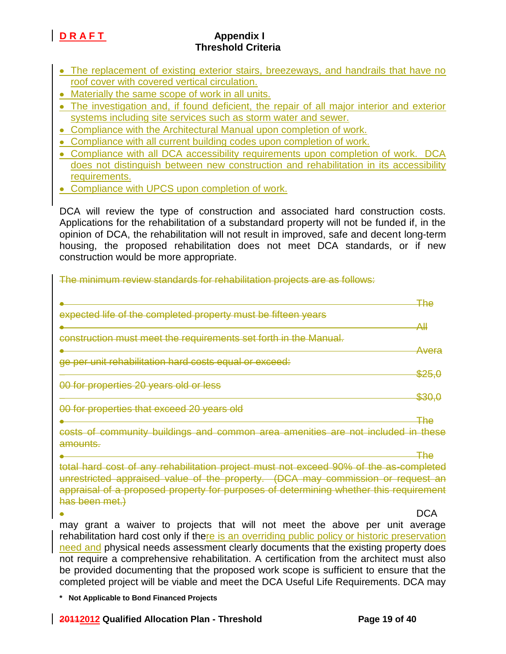- The replacement of existing exterior stairs, breezeways, and handrails that have no roof cover with covered vertical circulation.
- Materially the same scope of work in all units.
- The investigation and, if found deficient, the repair of all major interior and exterior systems including site services such as storm water and sewer.
- Compliance with the Architectural Manual upon completion of work.
- Compliance with all current building codes upon completion of work.
- Compliance with all DCA accessibility requirements upon completion of work. DCA does not distinguish between new construction and rehabilitation in its accessibility requirements.
- Compliance with UPCS upon completion of work.

DCA will review the type of construction and associated hard construction costs. Applications for the rehabilitation of a substandard property will not be funded if, in the opinion of DCA, the rehabilitation will not result in improved, safe and decent long-term housing, the proposed rehabilitation does not meet DCA standards, or if new construction would be more appropriate.

The minimum review standards for rehabilitation projects are as follows:

|                                                                  | ∓he               |
|------------------------------------------------------------------|-------------------|
| expected life of the completed property must be fifteen years    |                   |
|                                                                  | Al                |
| construction must meet the requirements set forth in the Manual. |                   |
|                                                                  | Avera             |
| ge per unit rehabilitation hard costs equal or exceed:           |                   |
|                                                                  | <del>\$25.(</del> |
| 00 for properties 20 years old or less                           |                   |
|                                                                  | <del>\$30,0</del> |
| 00 for properties that exceed 20 years old                       |                   |
|                                                                  |                   |

costs of community buildings and common area amenities are not included in these amounts.

The total hard cost of any rehabilitation project must not exceed 90% of the as-completed unrestricted appraised value of the property. (DCA may commission or request an appraisal of a proposed property for purposes of determining whether this requirement has been met.)

DCA

may grant a waiver to projects that will not meet the above per unit average rehabilitation hard cost only if there is an overriding public policy or historic preservation need and physical needs assessment clearly documents that the existing property does not require a comprehensive rehabilitation. A certification from the architect must also be provided documenting that the proposed work scope is sufficient to ensure that the completed project will be viable and meet the DCA Useful Life Requirements. DCA may

**\* Not Applicable to Bond Financed Projects**

Ä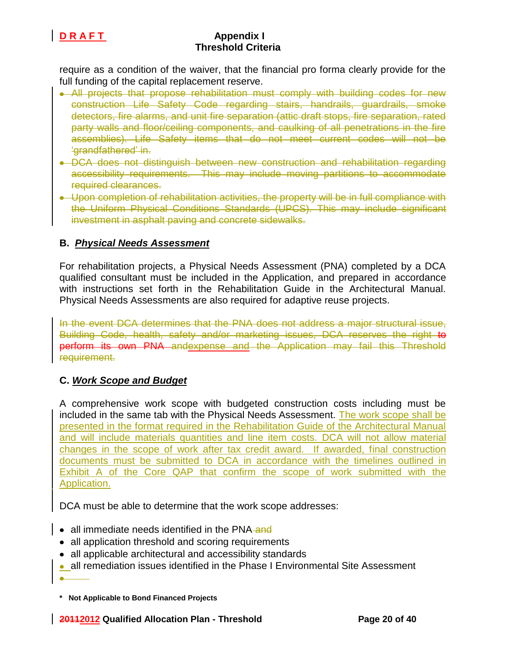

require as a condition of the waiver, that the financial pro forma clearly provide for the full funding of the capital replacement reserve.

- All projects that propose rehabilitation must comply with building codes for new construction Life Safety Code regarding stairs, handrails, guardrails, smoke detectors, fire alarms, and unit fire separation (attic draft stops, fire separation, rated party walls and floor/ceiling components, and caulking of all penetrations in the fire assemblies). Life Safety items that do not meet current codes will not be 'grandfathered' in.
- DCA does not distinguish between new construction and rehabilitation regarding accessibility requirements. This may include moving partitions to accommodate required clearances.
- Upon completion of rehabilitation activities, the property will be in full compliance with the Uniform Physical Conditions Standards (UPCS). This may include significant investment in asphalt paving and concrete sidewalks.

## **B.** *Physical Needs Assessment*

For rehabilitation projects, a Physical Needs Assessment (PNA) completed by a DCA qualified consultant must be included in the Application, and prepared in accordance with instructions set forth in the Rehabilitation Guide in the Architectural Manual. Physical Needs Assessments are also required for adaptive reuse projects.

In the event DCA determines that the PNA does not address a major structural issue, Building Code, health, safety and/or marketing issues, DCA reserves the right to perform its own PNA andexpense and the Application may fail this Threshold requirement.

## **C.** *Work Scope and Budget*

A comprehensive work scope with budgeted construction costs including must be included in the same tab with the Physical Needs Assessment. The work scope shall be presented in the format required in the Rehabilitation Guide of the Architectural Manual and will include materials quantities and line item costs. DCA will not allow material changes in the scope of work after tax credit award. If awarded, final construction documents must be submitted to DCA in accordance with the timelines outlined in Exhibit A of the Core QAP that confirm the scope of work submitted with the Application.

DCA must be able to determine that the work scope addresses:

- all immediate needs identified in the PNA-and
- all application threshold and scoring requirements
- all applicable architectural and accessibility standards
- all remediation issues identified in the Phase I Environmental Site Assessment Ä.

**<sup>\*</sup> Not Applicable to Bond Financed Projects**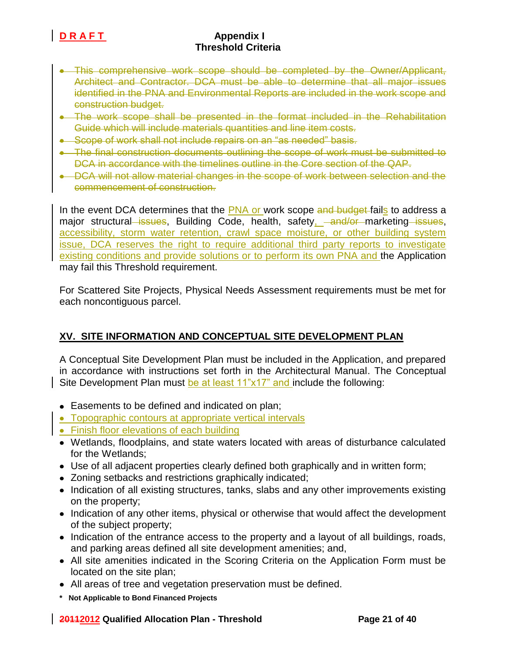- This comprehensive work scope should be completed by the Owner/Applicant, Architect and Contractor. DCA must be able to determine that all major issues identified in the PNA and Environmental Reports are included in the work scope and construction budget.
- The work scope shall be presented in the format included in the Rehabilitation Guide which will include materials quantities and line item costs.
- Scope of work shall not include repairs on an "as needed" basis.
- The final construction documents outlining the scope of work must be submitted to DCA in accordance with the timelines outline in the Core section of the QAP.
- DCA will not allow material changes in the scope of work between selection and the commencement of construction.

In the event DCA determines that the PNA or work scope and budget fails to address a major structural issues, Building Code, health, safety, and/or marketing issues, accessibility, storm water retention, crawl space moisture, or other building system issue, DCA reserves the right to require additional third party reports to investigate existing conditions and provide solutions or to perform its own PNA and the Application may fail this Threshold requirement.

For Scattered Site Projects, Physical Needs Assessment requirements must be met for each noncontiguous parcel.

## **XV. SITE INFORMATION AND CONCEPTUAL SITE DEVELOPMENT PLAN**

A Conceptual Site Development Plan must be included in the Application, and prepared in accordance with instructions set forth in the Architectural Manual. The Conceptual Site Development Plan must be at least 11"x17" and include the following:

- Easements to be defined and indicated on plan;
- Topographic contours at appropriate vertical intervals
- Finish floor elevations of each building
- Wetlands, floodplains, and state waters located with areas of disturbance calculated for the Wetlands;
- Use of all adjacent properties clearly defined both graphically and in written form;
- Zoning setbacks and restrictions graphically indicated;
- Indication of all existing structures, tanks, slabs and any other improvements existing on the property;
- Indication of any other items, physical or otherwise that would affect the development of the subject property;
- Indication of the entrance access to the property and a layout of all buildings, roads, and parking areas defined all site development amenities; and,
- All site amenities indicated in the Scoring Criteria on the Application Form must be located on the site plan;
- All areas of tree and vegetation preservation must be defined.
- **\* Not Applicable to Bond Financed Projects**

### **20112012 Qualified Allocation Plan - Threshold Page 21 of 40**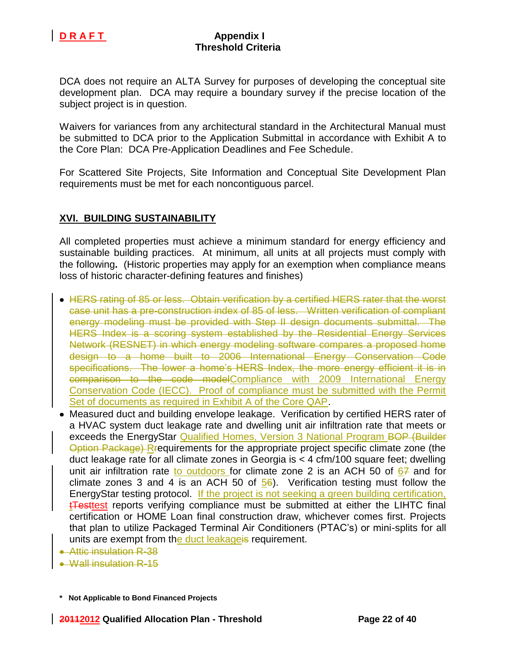

DCA does not require an ALTA Survey for purposes of developing the conceptual site development plan. DCA may require a boundary survey if the precise location of the subject project is in question.

Waivers for variances from any architectural standard in the Architectural Manual must be submitted to DCA prior to the Application Submittal in accordance with Exhibit A to the Core Plan: DCA Pre-Application Deadlines and Fee Schedule.

For Scattered Site Projects, Site Information and Conceptual Site Development Plan requirements must be met for each noncontiguous parcel.

## **XVI. BUILDING SUSTAINABILITY**

All completed properties must achieve a minimum standard for energy efficiency and sustainable building practices. At minimum, all units at all projects must comply with the following**.** (Historic properties may apply for an exemption when compliance means loss of historic character-defining features and finishes)

- HERS rating of 85 or less. Obtain verification by a certified HERS rater that the worst case unit has a pre-construction index of 85 of less. Written verification of compliant energy modeling must be provided with Step II design documents submittal. The HERS Index is a scoring system established by the Residential Energy Services Network (RESNET) in which energy modeling software compares a proposed home design to a home built to 2006 International Energy Conservation Code specifications. The lower a home's HERS Index, the more energy efficient it is in comparison to the code modelCompliance with 2009 International Energy Conservation Code (IECC). Proof of compliance must be submitted with the Permit Set of documents as required in Exhibit A of the Core QAP.
- Measured duct and building envelope leakage. Verification by certified HERS rater of a HVAC system duct leakage rate and dwelling unit air infiltration rate that meets or exceeds the EnergyStar Qualified Homes, Version 3 National Program BOP (Builder Option Package) Rrequirements for the appropriate project specific climate zone (the duct leakage rate for all climate zones in Georgia is < 4 cfm/100 square feet; dwelling unit air infiltration rate to outdoors for climate zone 2 is an ACH 50 of  $67$  and for climate zones 3 and 4 is an ACH 50 of  $\frac{56}{6}$ . Verification testing must follow the EnergyStar testing protocol. If the project is not seeking a green building certification, t**Testtest** reports verifying compliance must be submitted at either the LIHTC final certification or HOME Loan final construction draw, whichever comes first. Projects that plan to utilize Packaged Terminal Air Conditioners (PTAC's) or mini-splits for all units are exempt from the duct leakageis requirement.
- Attic insulation R-38
- Wall insulation R-15

**<sup>\*</sup> Not Applicable to Bond Financed Projects**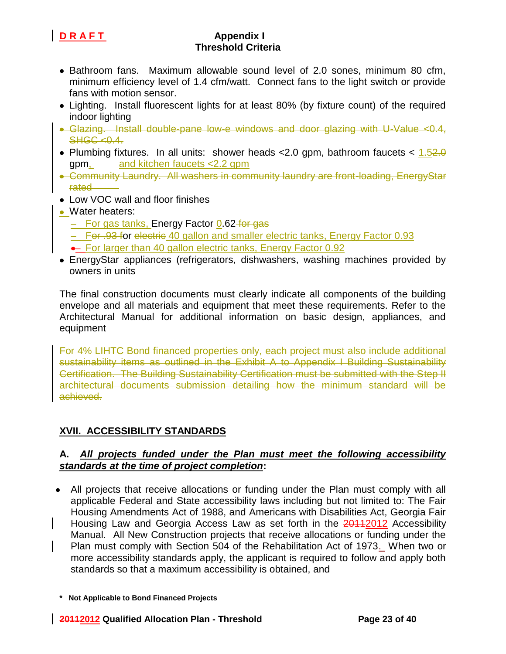

- Bathroom fans. Maximum allowable sound level of 2.0 sones, minimum 80 cfm, minimum efficiency level of 1.4 cfm/watt. Connect fans to the light switch or provide fans with motion sensor.
- Lighting. Install fluorescent lights for at least 80% (by fixture count) of the required indoor lighting
- Glazing. Install double-pane low-e windows and door glazing with U-Value <0.4,  $SHGC < 0.4$ .
- Plumbing fixtures. In all units: shower heads < 2.0 gpm, bathroom faucets <  $1.52.0$ gpm, and kitchen faucets <2.2 gpm
- Community Laundry. All washers in community laundry are front-loading, EnergyStar rated
- Low VOC wall and floor finishes
- Water heaters:
	- For gas tanks, Energy Factor 0.62 for gas
	- For .93 for electric 40 gallon and smaller electric tanks, Energy Factor 0.93
	- For larger than 40 gallon electric tanks, Energy Factor 0.92
- EnergyStar appliances (refrigerators, dishwashers, washing machines provided by owners in units

The final construction documents must clearly indicate all components of the building envelope and all materials and equipment that meet these requirements. Refer to the Architectural Manual for additional information on basic design, appliances, and equipment

For 4% LIHTC Bond financed properties only, each project must also include additional sustainability items as outlined in the Exhibit A to Appendix I Building Sustainability Certification. The Building Sustainability Certification must be submitted with the Step II architectural documents submission detailing how the minimum standard will be achieved.

# **XVII. ACCESSIBILITY STANDARDS**

## **A.** *All projects funded under the Plan must meet the following accessibility standards at the time of project completion***:**

All projects that receive allocations or funding under the Plan must comply with all applicable Federal and State accessibility laws including but not limited to: The Fair Housing Amendments Act of 1988, and Americans with Disabilities Act, Georgia Fair Housing Law and Georgia Access Law as set forth in the 20112012 Accessibility Manual. All New Construction projects that receive allocations or funding under the Plan must comply with Section 504 of the Rehabilitation Act of 1973. When two or more accessibility standards apply, the applicant is required to follow and apply both standards so that a maximum accessibility is obtained, and

**<sup>\*</sup> Not Applicable to Bond Financed Projects**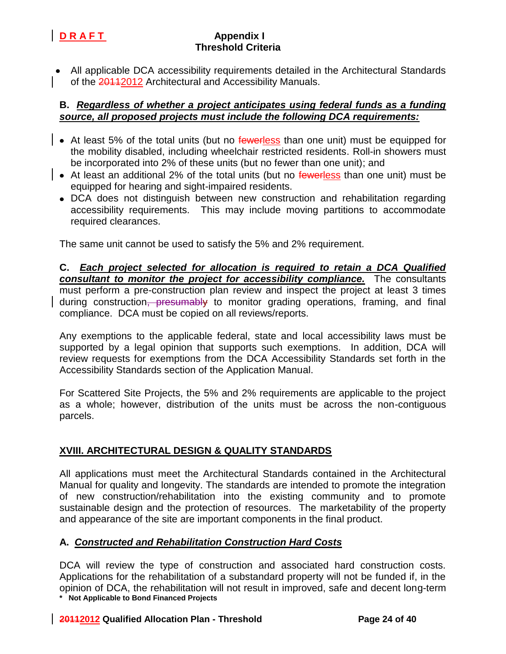All applicable DCA accessibility requirements detailed in the Architectural Standards of the 20112012 Architectural and Accessibility Manuals.

## **B.** *Regardless of whether a project anticipates using federal funds as a funding source, all proposed projects must include the following DCA requirements:*

- At least 5% of the total units (but no fewerless than one unit) must be equipped for the mobility disabled, including wheelchair restricted residents. Roll-in showers must be incorporated into 2% of these units (but no fewer than one unit); and
- At least an additional 2% of the total units (but no fewerless than one unit) must be equipped for hearing and sight-impaired residents.
	- DCA does not distinguish between new construction and rehabilitation regarding accessibility requirements. This may include moving partitions to accommodate required clearances.

The same unit cannot be used to satisfy the 5% and 2% requirement.

**C.** *Each project selected for allocation is required to retain a DCA Qualified consultant to monitor the project for accessibility compliance.* The consultants must perform a pre-construction plan review and inspect the project at least 3 times during construction, presumably to monitor grading operations, framing, and final compliance. DCA must be copied on all reviews/reports.

Any exemptions to the applicable federal, state and local accessibility laws must be supported by a legal opinion that supports such exemptions. In addition, DCA will review requests for exemptions from the DCA Accessibility Standards set forth in the Accessibility Standards section of the Application Manual.

For Scattered Site Projects, the 5% and 2% requirements are applicable to the project as a whole; however, distribution of the units must be across the non-contiguous parcels.

# **XVIII. ARCHITECTURAL DESIGN & QUALITY STANDARDS**

All applications must meet the Architectural Standards contained in the Architectural Manual for quality and longevity. The standards are intended to promote the integration of new construction/rehabilitation into the existing community and to promote sustainable design and the protection of resources. The marketability of the property and appearance of the site are important components in the final product.

## **A.** *Constructed and Rehabilitation Construction Hard Costs*

**\* Not Applicable to Bond Financed Projects** DCA will review the type of construction and associated hard construction costs. Applications for the rehabilitation of a substandard property will not be funded if, in the opinion of DCA, the rehabilitation will not result in improved, safe and decent long-term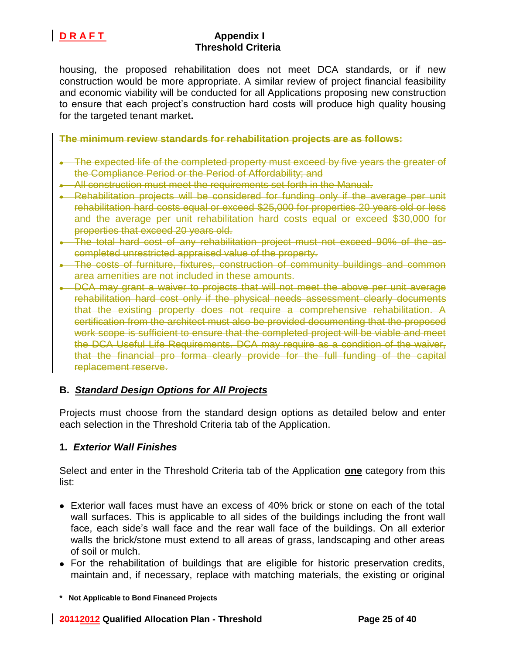

housing, the proposed rehabilitation does not meet DCA standards, or if new construction would be more appropriate. A similar review of project financial feasibility and economic viability will be conducted for all Applications proposing new construction to ensure that each project's construction hard costs will produce high quality housing for the targeted tenant market**.**

**The minimum review standards for rehabilitation projects are as follows:**

- The expected life of the completed property must exceed by five years the greater of the Compliance Period or the Period of Affordability; and
- All construction must meet the requirements set forth in the Manual.
- Rehabilitation projects will be considered for funding only if the average per unit rehabilitation hard costs equal or exceed \$25,000 for properties 20 years old or less and the average per unit rehabilitation hard costs equal or exceed \$30,000 for properties that exceed 20 years old.
- The total hard cost of any rehabilitation project must not exceed 90% of the ascompleted unrestricted appraised value of the property.
- . The costs of furniture, fixtures, construction of community buildings and common area amenities are not included in these amounts.
- . DCA may grant a waiver to projects that will not meet the above per unit average rehabilitation hard cost only if the physical needs assessment clearly documents that the existing property does not require a comprehensive rehabilitation. A certification from the architect must also be provided documenting that the proposed work scope is sufficient to ensure that the completed project will be viable and meet the DCA Useful Life Requirements. DCA may require as a condition of the waiver, that the financial pro forma clearly provide for the full funding of the capital replacement reserve.

## **B.** *Standard Design Options for All Projects*

Projects must choose from the standard design options as detailed below and enter each selection in the Threshold Criteria tab of the Application.

### **1***. Exterior Wall Finishes*

Select and enter in the Threshold Criteria tab of the Application **one** category from this list:

- Exterior wall faces must have an excess of 40% brick or stone on each of the total wall surfaces. This is applicable to all sides of the buildings including the front wall face, each side's wall face and the rear wall face of the buildings. On all exterior walls the brick/stone must extend to all areas of grass, landscaping and other areas of soil or mulch.
- For the rehabilitation of buildings that are eligible for historic preservation credits, maintain and, if necessary, replace with matching materials, the existing or original

**<sup>\*</sup> Not Applicable to Bond Financed Projects**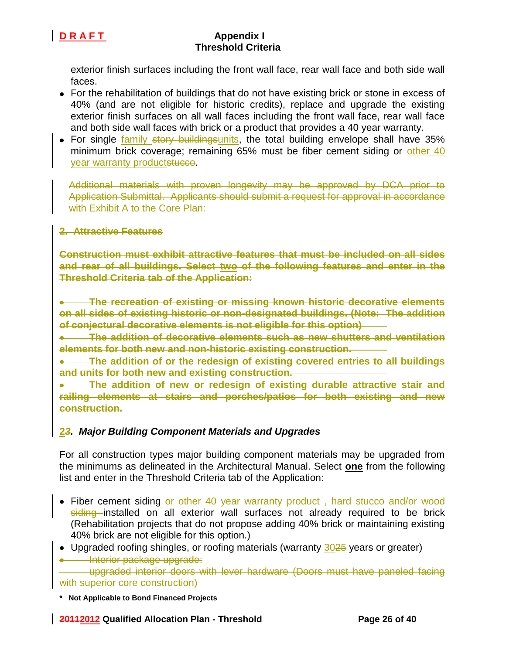

exterior finish surfaces including the front wall face, rear wall face and both side wall faces.

- For the rehabilitation of buildings that do not have existing brick or stone in excess of 40% (and are not eligible for historic credits), replace and upgrade the existing exterior finish surfaces on all wall faces including the front wall face, rear wall face and both side wall faces with brick or a product that provides a 40 year warranty.
- For single family story buildingsunits, the total building envelope shall have 35% minimum brick coverage; remaining 65% must be fiber cement siding or other 40 year warranty productstucco.

Additional materials with proven longevity may be approved by DCA prior to Application Submittal. Applicants should submit a request for approval in accordance with Exhibit A to the Core Plan:

## **2. Attractive Features**

**Construction must exhibit attractive features that must be included on all sides and rear of all buildings. Select two of the following features and enter in the Threshold Criteria tab of the Application:**

**The recreation of existing or missing known historic decorative elements on all sides of existing historic or non-designated buildings. (Note: The addition of conjectural decorative elements is not eligible for this option)** 

**The addition of decorative elements such as new shutters and ventilation elements for both new and non-historic existing construction.**

**The addition of or the redesign of existing covered entries to all buildings and units for both new and existing construction.** 

**The addition of new or redesign of existing durable attractive stair and railing elements at stairs and porches/patios for both existing and new construction.** 

## **2***3. Major Building Component Materials and Upgrades*

For all construction types major building component materials may be upgraded from the minimums as delineated in the Architectural Manual. Select **one** from the following list and enter in the Threshold Criteria tab of the Application:

- Fiber cement siding or other 40 year warranty product, hard stucco and/or wood siding installed on all exterior wall surfaces not already required to be brick (Rehabilitation projects that do not propose adding 40% brick or maintaining existing 40% brick are not eligible for this option.)
- Upgraded roofing shingles, or roofing materials (warranty 3025 years or greater) **Interior package upgrade:**

upgraded interior doors with lever hardware (Doors must have paneled facing with superior core construction)

**\* Not Applicable to Bond Financed Projects**

### **20112012 Qualified Allocation Plan - Threshold Page 26 of 40**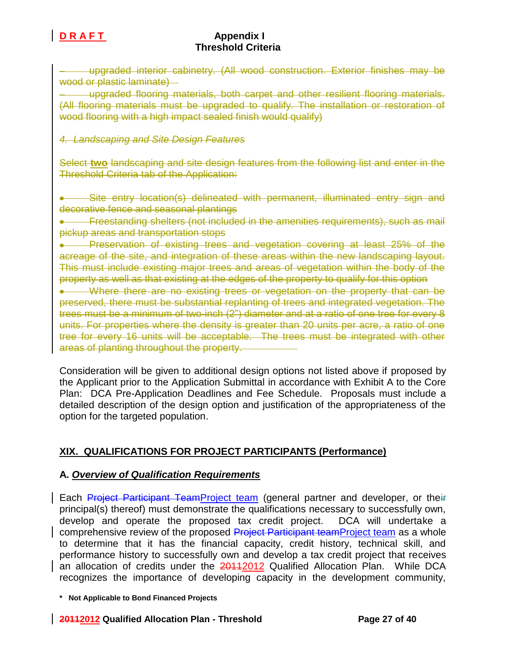upgraded interior cabinetry. (All wood construction. Exterior finishes may be wood or plastic laminate)

upgraded flooring materials, both carpet and other resilient flooring materials. (All flooring materials must be upgraded to qualify. The installation or restoration of wood flooring with a high impact sealed finish would qualify)

## *4. Landscaping and Site Design Features*

Select **two** landscaping and site design features from the following list and enter in the Threshold Criteria tab of the Application:

Site entry location(s) delineated with permanent, illuminated entry sign and decorative fence and seasonal plantings

Freestanding shelters (not included in the amenities requirements), such as mail pickup areas and transportation stops

Preservation of existing trees and vegetation covering at least 25% of the  $\bullet$ acreage of the site, and integration of these areas within the new landscaping layout. This must include existing major trees and areas of vegetation within the body of the property as well as that existing at the edges of the property to qualify for this option

• Where there are no existing trees or vegetation on the property that can be preserved, there must be substantial replanting of trees and integrated vegetation. The trees must be a minimum of two-inch (2") diameter and at a ratio of one tree for every 8 units. For properties where the density is greater than 20 units per acre, a ratio of one tree for every 16 units will be acceptable. The trees must be integrated with other areas of planting throughout the property.

Consideration will be given to additional design options not listed above if proposed by the Applicant prior to the Application Submittal in accordance with Exhibit A to the Core Plan: DCA Pre-Application Deadlines and Fee Schedule. Proposals must include a detailed description of the design option and justification of the appropriateness of the option for the targeted population.

# **XIX. QUALIFICATIONS FOR PROJECT PARTICIPANTS (Performance)**

## **A.** *Overview of Qualification Requirements*

Each Project Participant TeamProject team (general partner and developer, or their principal(s) thereof) must demonstrate the qualifications necessary to successfully own, develop and operate the proposed tax credit project. DCA will undertake a comprehensive review of the proposed Project Participant teamProject team as a whole to determine that it has the financial capacity, credit history, technical skill, and performance history to successfully own and develop a tax credit project that receives an allocation of credits under the **2011**2012 Qualified Allocation Plan. While DCA recognizes the importance of developing capacity in the development community,

### **20112012 Qualified Allocation Plan - Threshold Page 27 of 40**

**<sup>\*</sup> Not Applicable to Bond Financed Projects**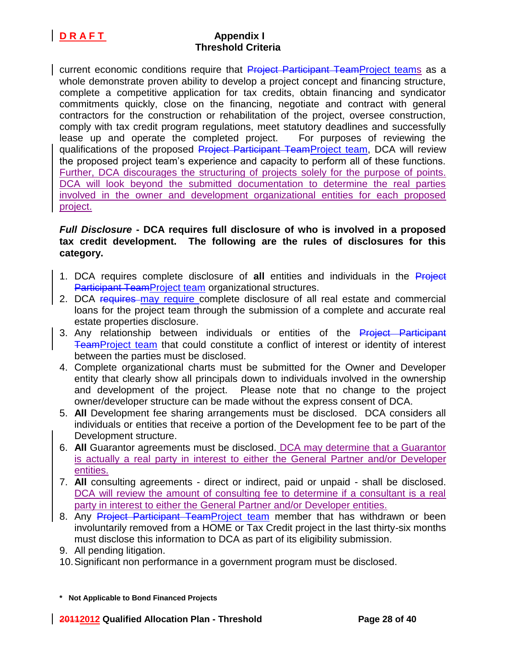current economic conditions require that Project Participant TeamProject teams as a whole demonstrate proven ability to develop a project concept and financing structure, complete a competitive application for tax credits, obtain financing and syndicator commitments quickly, close on the financing, negotiate and contract with general contractors for the construction or rehabilitation of the project, oversee construction, comply with tax credit program regulations, meet statutory deadlines and successfully lease up and operate the completed project. For purposes of reviewing the qualifications of the proposed Project Participant TeamProject team, DCA will review the proposed project team's experience and capacity to perform all of these functions. Further, DCA discourages the structuring of projects solely for the purpose of points. DCA will look beyond the submitted documentation to determine the real parties involved in the owner and development organizational entities for each proposed project.

## *Full Disclosure* **- DCA requires full disclosure of who is involved in a proposed tax credit development. The following are the rules of disclosures for this category.**

- 1. DCA requires complete disclosure of **all** entities and individuals in the Project Participant TeamProject team organizational structures.
- 2. DCA requires may require complete disclosure of all real estate and commercial loans for the project team through the submission of a complete and accurate real estate properties disclosure.
- 3. Any relationship between individuals or entities of the Project Participant TeamProject team that could constitute a conflict of interest or identity of interest between the parties must be disclosed.
- 4. Complete organizational charts must be submitted for the Owner and Developer entity that clearly show all principals down to individuals involved in the ownership and development of the project. Please note that no change to the project owner/developer structure can be made without the express consent of DCA.
- 5. **All** Development fee sharing arrangements must be disclosed. DCA considers all individuals or entities that receive a portion of the Development fee to be part of the Development structure.
- 6. **All** Guarantor agreements must be disclosed. DCA may determine that a Guarantor is actually a real party in interest to either the General Partner and/or Developer entities.
- 7. **All** consulting agreements direct or indirect, paid or unpaid shall be disclosed. DCA will review the amount of consulting fee to determine if a consultant is a real party in interest to either the General Partner and/or Developer entities.
- 8. Any Project Participant TeamProject team member that has withdrawn or been involuntarily removed from a HOME or Tax Credit project in the last thirty-six months must disclose this information to DCA as part of its eligibility submission.
- 9. All pending litigation.
- 10.Significant non performance in a government program must be disclosed.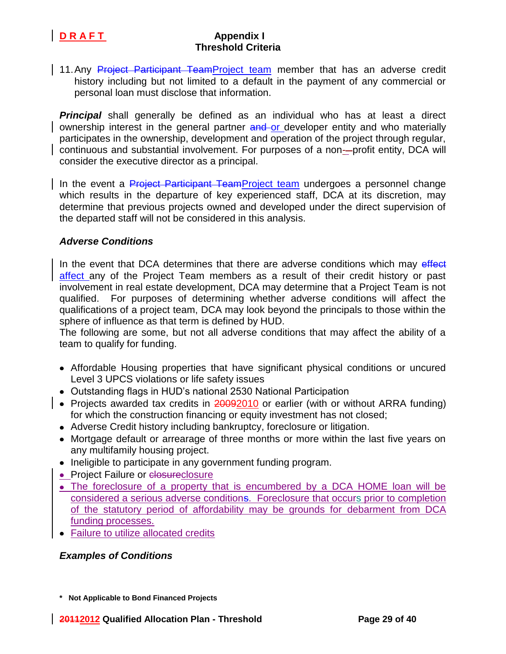11. Any Project Participant TeamProject team member that has an adverse credit history including but not limited to a default in the payment of any commercial or personal loan must disclose that information.

*Principal* shall generally be defined as an individual who has at least a direct ownership interest in the general partner and or developer entity and who materially participates in the ownership, development and operation of the project through regular, continuous and substantial involvement. For purposes of a non-profit entity, DCA will consider the executive director as a principal.

In the event a Project Participant TeamProject team undergoes a personnel change which results in the departure of key experienced staff, DCA at its discretion, may determine that previous projects owned and developed under the direct supervision of the departed staff will not be considered in this analysis.

### *Adverse Conditions*

In the event that DCA determines that there are adverse conditions which may effect affect any of the Project Team members as a result of their credit history or past involvement in real estate development, DCA may determine that a Project Team is not qualified. For purposes of determining whether adverse conditions will affect the qualifications of a project team, DCA may look beyond the principals to those within the sphere of influence as that term is defined by HUD.

The following are some, but not all adverse conditions that may affect the ability of a team to qualify for funding.

- Affordable Housing properties that have significant physical conditions or uncured Level 3 UPCS violations or life safety issues
- Outstanding flags in HUD's national 2530 National Participation
- Projects awarded tax credits in  $20092010$  or earlier (with or without ARRA funding) for which the construction financing or equity investment has not closed;
	- Adverse Credit history including bankruptcy, foreclosure or litigation.
	- Mortgage default or arrearage of three months or more within the last five years on any multifamily housing project.
	- Ineligible to participate in any government funding program.
	- Project Failure or closureclosure
	- The foreclosure of a property that is encumbered by a DCA HOME loan will be considered a serious adverse conditions. Foreclosure that occurs prior to completion of the statutory period of affordability may be grounds for debarment from DCA funding processes.
	- Failure to utilize allocated credits

### *Examples of Conditions*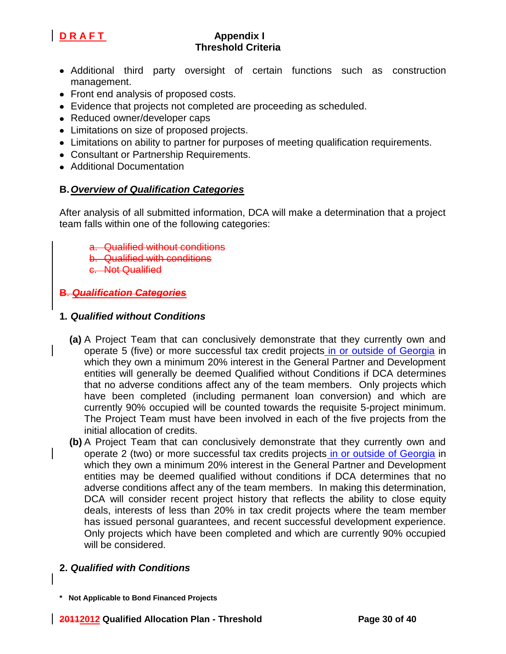

- Additional third party oversight of certain functions such as construction management.
- Front end analysis of proposed costs.
- Evidence that projects not completed are proceeding as scheduled.
- Reduced owner/developer caps
- Limitations on size of proposed projects.
- Limitations on ability to partner for purposes of meeting qualification requirements.
- Consultant or Partnership Requirements.
- Additional Documentation

# **B.***Overview of Qualification Categories*

After analysis of all submitted information, DCA will make a determination that a project team falls within one of the following categories:

- a. Qualified without conditions
- b. Qualified with conditions
- c. Not Qualified

# **B**. *Qualification Categories*

## **1***. Qualified without Conditions*

- **(a)** A Project Team that can conclusively demonstrate that they currently own and operate 5 (five) or more successful tax credit projects in or outside of Georgia in which they own a minimum 20% interest in the General Partner and Development entities will generally be deemed Qualified without Conditions if DCA determines that no adverse conditions affect any of the team members. Only projects which have been completed (including permanent loan conversion) and which are currently 90% occupied will be counted towards the requisite 5-project minimum. The Project Team must have been involved in each of the five projects from the initial allocation of credits.
- **(b)** A Project Team that can conclusively demonstrate that they currently own and operate 2 (two) or more successful tax credits projects in or outside of Georgia in which they own a minimum 20% interest in the General Partner and Development entities may be deemed qualified without conditions if DCA determines that no adverse conditions affect any of the team members. In making this determination, DCA will consider recent project history that reflects the ability to close equity deals, interests of less than 20% in tax credit projects where the team member has issued personal guarantees, and recent successful development experience. Only projects which have been completed and which are currently 90% occupied will be considered.

## **2.** *Qualified with Conditions*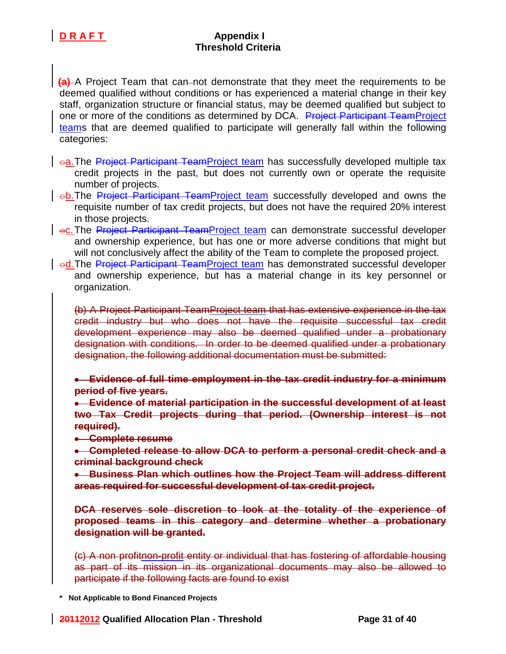

**(a)** A Project Team that can-not demonstrate that they meet the requirements to be deemed qualified without conditions or has experienced a material change in their key staff, organization structure or financial status, may be deemed qualified but subject to one or more of the conditions as determined by DCA. Project Participant TeamProject teams that are deemed qualified to participate will generally fall within the following categories:

- oa. The Project Participant TeamProject team has successfully developed multiple tax credit projects in the past, but does not currently own or operate the requisite number of projects.
- $\vert$   $\textup{e}$ b.The Project Participant TeamProject team successfully developed and owns the requisite number of tax credit projects, but does not have the required 20% interest in those projects.
- $\rightarrow$   $\circ$ . The Project Participant TeamProject team can demonstrate successful developer and ownership experience, but has one or more adverse conditions that might but will not conclusively affect the ability of the Team to complete the proposed project.
- od. The Project Participant TeamProject team has demonstrated successful developer and ownership experience, but has a material change in its key personnel or organization.

(b) A Project Participant TeamProject team that has extensive experience in the tax credit industry but who does not have the requisite successful tax credit development experience may also be deemed qualified under a probationary designation with conditions. In order to be deemed qualified under a probationary designation, the following additional documentation must be submitted:

**Evidence of full time employment in the tax credit industry for a minimum period of five years.** 

**Evidence of material participation in the successful development of at least two Tax Credit projects during that period. (Ownership interest is not required).** 

**e** Complete resume

**Completed release to allow DCA to perform a personal credit check and a criminal background check**

**Business Plan which outlines how the Project Team will address different areas required for successful development of tax credit project.**

**DCA reserves sole discretion to look at the totality of the experience of proposed teams in this category and determine whether a probationary designation will be granted.** 

(c) A non profitnon-profit entity or individual that has fostering of affordable housing as part of its mission in its organizational documents may also be allowed to participate if the following facts are found to exist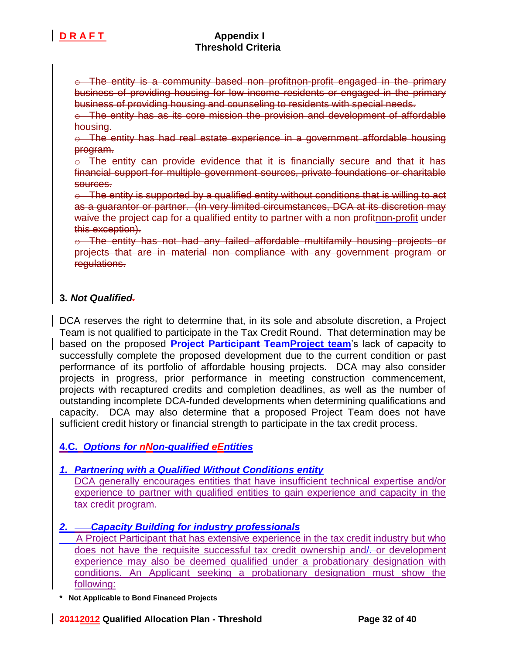

 $\circ$  The entity is a community based non profitnon-profit engaged in the primary business of providing housing for low income residents or engaged in the primary business of providing housing and counseling to residents with special needs.

 $\circ$  The entity has as its core mission the provision and development of affordable housing.

o The entity has had real estate experience in a government affordable housing program.

 $\circ$  The entity can provide evidence that it is financially secure and that it has financial support for multiple government sources, private foundations or charitable sources.

 $\circ$  The entity is supported by a qualified entity without conditions that is willing to act as a guarantor or partner. (In very limited circumstances, DCA at its discretion may waive the project cap for a qualified entity to partner with a non profitnon-profit under this exception).

o The entity has not had any failed affordable multifamily housing projects or projects that are in material non compliance with any government program or regulations.

## **3***. Not Qualified.*

DCA reserves the right to determine that, in its sole and absolute discretion, a Project Team is not qualified to participate in the Tax Credit Round. That determination may be based on the proposed **Project Participant TeamProject team**'s lack of capacity to successfully complete the proposed development due to the current condition or past performance of its portfolio of affordable housing projects. DCA may also consider projects in progress, prior performance in meeting construction commencement, projects with recaptured credits and completion deadlines, as well as the number of outstanding incomplete DCA-funded developments when determining qualifications and capacity. DCA may also determine that a proposed Project Team does not have sufficient credit history or financial strength to participate in the tax credit process.

## **4.C.** *Options for nNon-qualified eEntities*

## *1. Partnering with a Qualified Without Conditions entity*

DCA generally encourages entities that have insufficient technical expertise and/or experience to partner with qualified entities to gain experience and capacity in the tax credit program.

## *2. Capacity Building for industry professionals*

 A Project Participant that has extensive experience in the tax credit industry but who does not have the requisite successful tax credit ownership and/--or development experience may also be deemed qualified under a probationary designation with conditions. An Applicant seeking a probationary designation must show the following: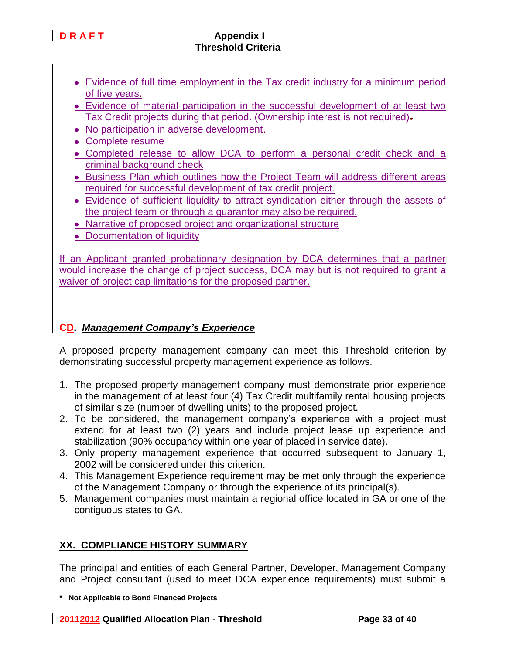- **Evidence of full time employment in the Tax credit industry for a minimum period** of five years.
- Evidence of material participation in the successful development of at least two Tax Credit projects during that period. (Ownership interest is not required).
- No participation in adverse development.
- Complete resume
- Completed release to allow DCA to perform a personal credit check and a criminal background check
- **Business Plan which outlines how the Project Team will address different areas** required for successful development of tax credit project.
- Evidence of sufficient liquidity to attract syndication either through the assets of the project team or through a guarantor may also be required.
- Narrative of proposed project and organizational structure
- Documentation of liquidity

If an Applicant granted probationary designation by DCA determines that a partner would increase the change of project success, DCA may but is not required to grant a waiver of project cap limitations for the proposed partner.

## **CD.** *Management Company's Experience*

A proposed property management company can meet this Threshold criterion by demonstrating successful property management experience as follows.

- 1. The proposed property management company must demonstrate prior experience in the management of at least four (4) Tax Credit multifamily rental housing projects of similar size (number of dwelling units) to the proposed project.
- 2. To be considered, the management company's experience with a project must extend for at least two (2) years and include project lease up experience and stabilization (90% occupancy within one year of placed in service date).
- 3. Only property management experience that occurred subsequent to January 1, 2002 will be considered under this criterion.
- 4. This Management Experience requirement may be met only through the experience of the Management Company or through the experience of its principal(s).
- 5. Management companies must maintain a regional office located in GA or one of the contiguous states to GA.

# **XX. COMPLIANCE HISTORY SUMMARY**

The principal and entities of each General Partner, Developer, Management Company and Project consultant (used to meet DCA experience requirements) must submit a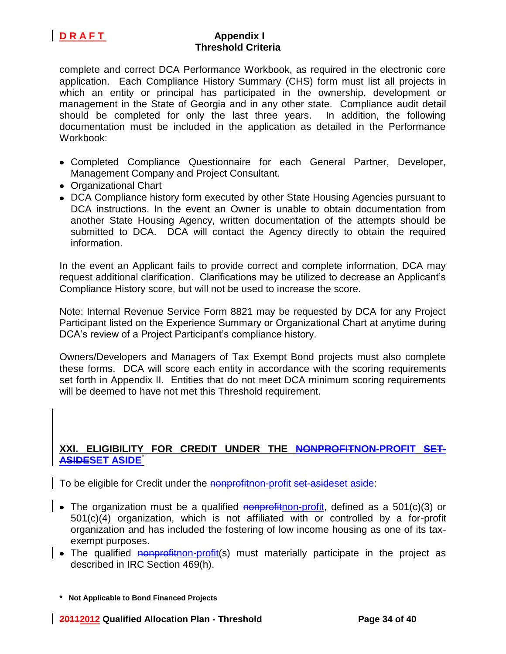

complete and correct DCA Performance Workbook, as required in the electronic core application. Each Compliance History Summary (CHS) form must list all projects in which an entity or principal has participated in the ownership, development or management in the State of Georgia and in any other state. Compliance audit detail should be completed for only the last three years. In addition, the following documentation must be included in the application as detailed in the Performance Workbook:

- Completed Compliance Questionnaire for each General Partner, Developer, Management Company and Project Consultant.
- Organizational Chart
- DCA Compliance history form executed by other State Housing Agencies pursuant to DCA instructions. In the event an Owner is unable to obtain documentation from another State Housing Agency, written documentation of the attempts should be submitted to DCA. DCA will contact the Agency directly to obtain the required information.

In the event an Applicant fails to provide correct and complete information, DCA may request additional clarification. Clarifications may be utilized to decrease an Applicant's Compliance History score, but will not be used to increase the score.

Note: Internal Revenue Service Form 8821 may be requested by DCA for any Project Participant listed on the Experience Summary or Organizational Chart at anytime during DCA's review of a Project Participant's compliance history.

Owners/Developers and Managers of Tax Exempt Bond projects must also complete these forms. DCA will score each entity in accordance with the scoring requirements set forth in Appendix II. Entities that do not meet DCA minimum scoring requirements will be deemed to have not met this Threshold requirement.

## **XXI. ELIGIBILITY FOR CREDIT UNDER THE NONPROFITNON-PROFIT SET-ASIDESET ASIDE**\*

To be eligible for Credit under the nonprofithon-profit set-asideset aside:

- The organization must be a qualified nonprofition-profit, defined as a 501(c)(3) or 501(c)(4) organization, which is not affiliated with or controlled by a for-profit organization and has included the fostering of low income housing as one of its taxexempt purposes.
- $\vert \bullet \vert$  The qualified nonprofithon-profit(s) must materially participate in the project as described in IRC Section 469(h).

**<sup>\*</sup> Not Applicable to Bond Financed Projects**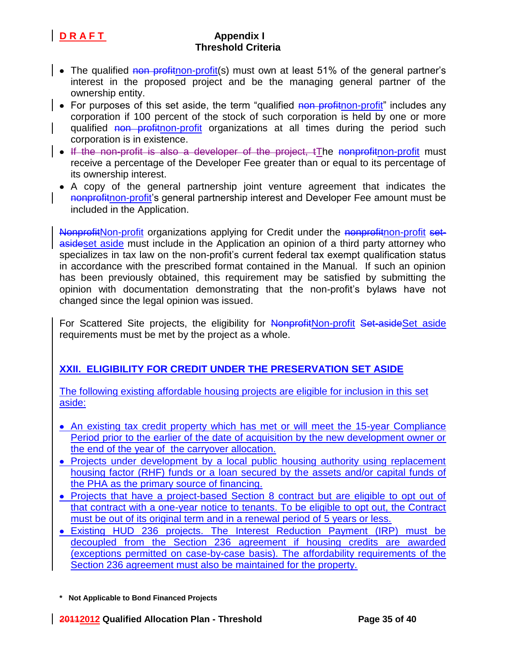- The qualified non profithon-profit(s) must own at least 51% of the general partner's interest in the proposed project and be the managing general partner of the ownership entity.
- For purposes of this set aside, the term "qualified non profit non-profit" includes any corporation if 100 percent of the stock of such corporation is held by one or more qualified non profithon-profit organizations at all times during the period such corporation is in existence.
- If the non-profit is also a developer of the project, tThe nonprofitnon-profit must receive a percentage of the Developer Fee greater than or equal to its percentage of its ownership interest.
	- A copy of the general partnership joint venture agreement that indicates the nonprofithon-profit's general partnership interest and Developer Fee amount must be included in the Application.

NonprofitNon-profit organizations applying for Credit under the nonprofitnon-profit setasideset aside must include in the Application an opinion of a third party attorney who specializes in tax law on the non-profit's current federal tax exempt qualification status in accordance with the prescribed format contained in the Manual. If such an opinion has been previously obtained, this requirement may be satisfied by submitting the opinion with documentation demonstrating that the non-profit's bylaws have not changed since the legal opinion was issued.

For Scattered Site projects, the eligibility for NonprofitNon-profit Set-asideSet aside requirements must be met by the project as a whole.

# **XXII. ELIGIBILITY FOR CREDIT UNDER THE PRESERVATION SET ASIDE**

The following existing affordable housing projects are eligible for inclusion in this set aside:

- An existing tax credit property which has met or will meet the 15-year Compliance Period prior to the earlier of the date of acquisition by the new development owner or the end of the year of the carryover allocation.
- Projects under development by a local public housing authority using replacement housing factor (RHF) funds or a loan secured by the assets and/or capital funds of the PHA as the primary source of financing.
- Projects that have a project-based Section 8 contract but are eligible to opt out of that contract with a one-year notice to tenants. To be eligible to opt out, the Contract must be out of its original term and in a renewal period of 5 years or less.
- Existing HUD 236 projects. The Interest Reduction Payment (IRP) must be decoupled from the Section 236 agreement if housing credits are awarded (exceptions permitted on case-by-case basis). The affordability requirements of the Section 236 agreement must also be maintained for the property.

**<sup>\*</sup> Not Applicable to Bond Financed Projects**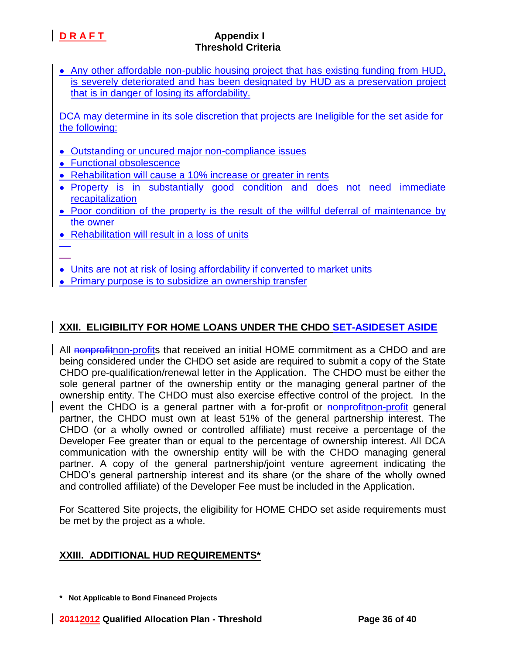Any other affordable non-public housing project that has existing funding from HUD, is severely deteriorated and has been designated by HUD as a preservation project that is in danger of losing its affordability.

DCA may determine in its sole discretion that projects are Ineligible for the set aside for the following:

- Outstanding or uncured major non-compliance issues
- Functional obsolescence
- Rehabilitation will cause a 10% increase or greater in rents
- Property is in substantially good condition and does not need immediate recapitalization
- Poor condition of the property is the result of the willful deferral of maintenance by the owner
- Rehabilitation will result in a loss of units
- 
- Units are not at risk of losing affordability if converted to market units
- Primary purpose is to subsidize an ownership transfer

# **XXII. ELIGIBILITY FOR HOME LOANS UNDER THE CHDO SET-ASIDESET ASIDE**

All nonprofithon-profits that received an initial HOME commitment as a CHDO and are being considered under the CHDO set aside are required to submit a copy of the State CHDO pre-qualification/renewal letter in the Application. The CHDO must be either the sole general partner of the ownership entity or the managing general partner of the ownership entity. The CHDO must also exercise effective control of the project. In the event the CHDO is a general partner with a for-profit or nonprofit non-profit general partner, the CHDO must own at least 51% of the general partnership interest. The CHDO (or a wholly owned or controlled affiliate) must receive a percentage of the Developer Fee greater than or equal to the percentage of ownership interest. All DCA communication with the ownership entity will be with the CHDO managing general partner. A copy of the general partnership/joint venture agreement indicating the CHDO's general partnership interest and its share (or the share of the wholly owned and controlled affiliate) of the Developer Fee must be included in the Application.

For Scattered Site projects, the eligibility for HOME CHDO set aside requirements must be met by the project as a whole.

## **XXIII. ADDITIONAL HUD REQUIREMENTS\***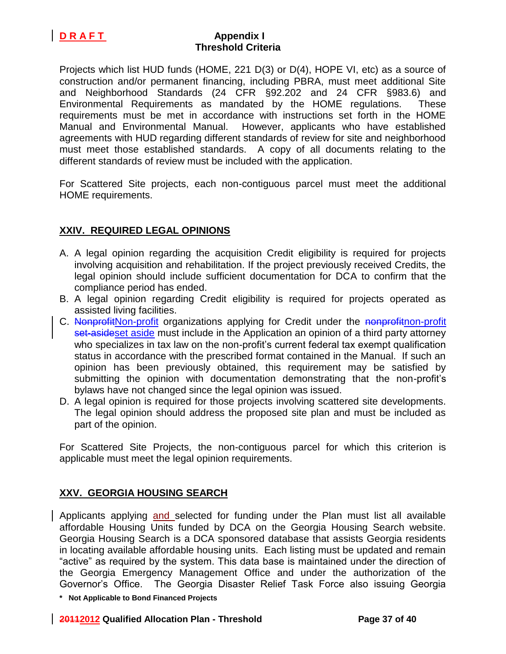Projects which list HUD funds (HOME, 221 D(3) or D(4), HOPE VI, etc) as a source of construction and/or permanent financing, including PBRA, must meet additional Site and Neighborhood Standards (24 CFR §92.202 and 24 CFR §983.6) and Environmental Requirements as mandated by the HOME regulations. These requirements must be met in accordance with instructions set forth in the HOME Manual and Environmental Manual. However, applicants who have established agreements with HUD regarding different standards of review for site and neighborhood must meet those established standards. A copy of all documents relating to the different standards of review must be included with the application.

For Scattered Site projects, each non-contiguous parcel must meet the additional HOME requirements.

## **XXIV. REQUIRED LEGAL OPINIONS**

- A. A legal opinion regarding the acquisition Credit eligibility is required for projects involving acquisition and rehabilitation. If the project previously received Credits, the legal opinion should include sufficient documentation for DCA to confirm that the compliance period has ended.
- B. A legal opinion regarding Credit eligibility is required for projects operated as assisted living facilities.
- C. NonprofitNon-profit organizations applying for Credit under the nonprofithon-profit set-asideset aside must include in the Application an opinion of a third party attorney who specializes in tax law on the non-profit's current federal tax exempt qualification status in accordance with the prescribed format contained in the Manual. If such an opinion has been previously obtained, this requirement may be satisfied by submitting the opinion with documentation demonstrating that the non-profit's bylaws have not changed since the legal opinion was issued.
- D. A legal opinion is required for those projects involving scattered site developments. The legal opinion should address the proposed site plan and must be included as part of the opinion.

For Scattered Site Projects, the non-contiguous parcel for which this criterion is applicable must meet the legal opinion requirements.

## **XXV. GEORGIA HOUSING SEARCH**

Applicants applying and selected for funding under the Plan must list all available affordable Housing Units funded by DCA on the Georgia Housing Search website. Georgia Housing Search is a DCA sponsored database that assists Georgia residents in locating available affordable housing units. Each listing must be updated and remain "active" as required by the system. This data base is maintained under the direction of the Georgia Emergency Management Office and under the authorization of the Governor's Office. The Georgia Disaster Relief Task Force also issuing Georgia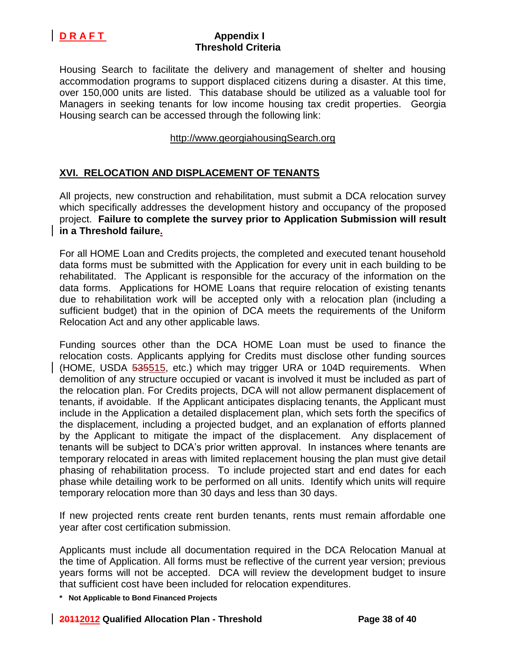

Housing Search to facilitate the delivery and management of shelter and housing accommodation programs to support displaced citizens during a disaster. At this time, over 150,000 units are listed. This database should be utilized as a valuable tool for Managers in seeking tenants for low income housing tax credit properties. Georgia Housing search can be accessed through the following link:

## http://www.georgiahousingSearch.org

## **XVI. RELOCATION AND DISPLACEMENT OF TENANTS**

All projects, new construction and rehabilitation, must submit a DCA relocation survey which specifically addresses the development history and occupancy of the proposed project. **Failure to complete the survey prior to Application Submission will result in a Threshold failure.**

For all HOME Loan and Credits projects, the completed and executed tenant household data forms must be submitted with the Application for every unit in each building to be rehabilitated. The Applicant is responsible for the accuracy of the information on the data forms. Applications for HOME Loans that require relocation of existing tenants due to rehabilitation work will be accepted only with a relocation plan (including a sufficient budget) that in the opinion of DCA meets the requirements of the Uniform Relocation Act and any other applicable laws.

Funding sources other than the DCA HOME Loan must be used to finance the relocation costs. Applicants applying for Credits must disclose other funding sources (HOME, USDA 535515, etc.) which may trigger URA or 104D requirements. When demolition of any structure occupied or vacant is involved it must be included as part of the relocation plan. For Credits projects, DCA will not allow permanent displacement of tenants, if avoidable. If the Applicant anticipates displacing tenants, the Applicant must include in the Application a detailed displacement plan, which sets forth the specifics of the displacement, including a projected budget, and an explanation of efforts planned by the Applicant to mitigate the impact of the displacement. Any displacement of tenants will be subject to DCA's prior written approval. In instances where tenants are temporary relocated in areas with limited replacement housing the plan must give detail phasing of rehabilitation process. To include projected start and end dates for each phase while detailing work to be performed on all units. Identify which units will require temporary relocation more than 30 days and less than 30 days.

If new projected rents create rent burden tenants, rents must remain affordable one year after cost certification submission.

Applicants must include all documentation required in the DCA Relocation Manual at the time of Application. All forms must be reflective of the current year version; previous years forms will not be accepted. DCA will review the development budget to insure that sufficient cost have been included for relocation expenditures.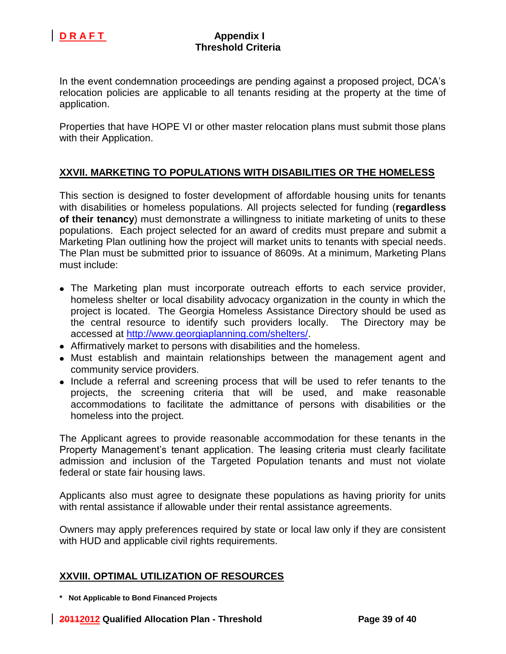

In the event condemnation proceedings are pending against a proposed project, DCA's relocation policies are applicable to all tenants residing at the property at the time of application.

Properties that have HOPE VI or other master relocation plans must submit those plans with their Application.

## **XXVII. MARKETING TO POPULATIONS WITH DISABILITIES OR THE HOMELESS**

This section is designed to foster development of affordable housing units for tenants with disabilities or homeless populations. All projects selected for funding (**regardless of their tenancy**) must demonstrate a willingness to initiate marketing of units to these populations. Each project selected for an award of credits must prepare and submit a Marketing Plan outlining how the project will market units to tenants with special needs. The Plan must be submitted prior to issuance of 8609s. At a minimum, Marketing Plans must include:

- The Marketing plan must incorporate outreach efforts to each service provider, homeless shelter or local disability advocacy organization in the county in which the project is located. The Georgia Homeless Assistance Directory should be used as the central resource to identify such providers locally. The Directory may be accessed at [http://www.georgiaplanning.com/shelters/.](http://www.georgiaplanning.com/shelters/)
- Affirmatively market to persons with disabilities and the homeless.
- Must establish and maintain relationships between the management agent and community service providers.
- Include a referral and screening process that will be used to refer tenants to the projects, the screening criteria that will be used, and make reasonable accommodations to facilitate the admittance of persons with disabilities or the homeless into the project.

The Applicant agrees to provide reasonable accommodation for these tenants in the Property Management's tenant application. The leasing criteria must clearly facilitate admission and inclusion of the Targeted Population tenants and must not violate federal or state fair housing laws.

Applicants also must agree to designate these populations as having priority for units with rental assistance if allowable under their rental assistance agreements.

Owners may apply preferences required by state or local law only if they are consistent with HUD and applicable civil rights requirements.

### **XXVIII. OPTIMAL UTILIZATION OF RESOURCES**